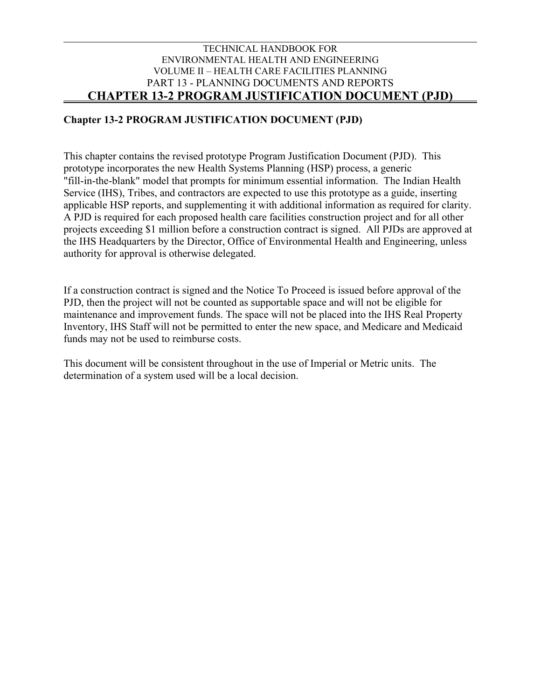#### **Chapter 13-2 PROGRAM JUSTIFICATION DOCUMENT (PJD)**

This chapter contains the revised prototype Program Justification Document (PJD). This prototype incorporates the new Health Systems Planning (HSP) process, a generic "fill-in-the-blank" model that prompts for minimum essential information. The Indian Health Service (IHS), Tribes, and contractors are expected to use this prototype as a guide, inserting applicable HSP reports, and supplementing it with additional information as required for clarity. A PJD is required for each proposed health care facilities construction project and for all other projects exceeding \$1 million before a construction contract is signed. All PJDs are approved at the IHS Headquarters by the Director, Office of Environmental Health and Engineering, unless authority for approval is otherwise delegated.

If a construction contract is signed and the Notice To Proceed is issued before approval of the PJD, then the project will not be counted as supportable space and will not be eligible for maintenance and improvement funds. The space will not be placed into the IHS Real Property Inventory, IHS Staff will not be permitted to enter the new space, and Medicare and Medicaid funds may not be used to reimburse costs.

This document will be consistent throughout in the use of Imperial or Metric units. The determination of a system used will be a local decision.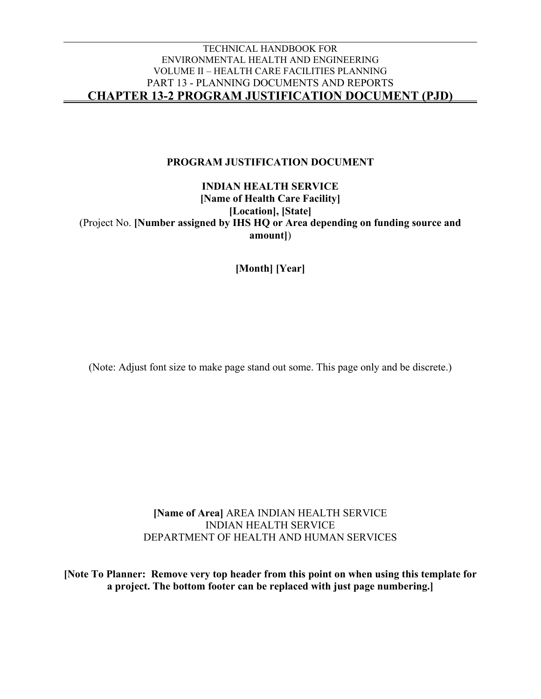#### **PROGRAM JUSTIFICATION DOCUMENT**

**INDIAN HEALTH SERVICE [Name of Health Care Facility] [Location], [State]** (Project No. **[Number assigned by IHS HQ or Area depending on funding source and amount]**)

**[Month] [Year]**

(Note: Adjust font size to make page stand out some. This page only and be discrete.)

**[Name of Area]** AREA INDIAN HEALTH SERVICE INDIAN HEALTH SERVICE DEPARTMENT OF HEALTH AND HUMAN SERVICES

**[Note To Planner: Remove very top header from this point on when using this template for a project. The bottom footer can be replaced with just page numbering.]**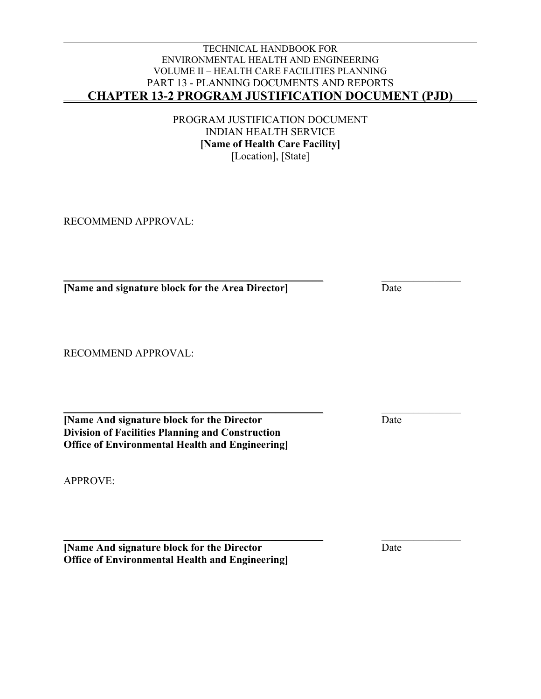PROGRAM JUSTIFICATION DOCUMENT INDIAN HEALTH SERVICE **[Name of Health Care Facility]** [Location], [State]

RECOMMEND APPROVAL:

\_\_\_\_\_\_\_\_\_\_\_\_\_\_\_\_\_\_\_\_\_\_\_\_\_\_\_\_\_\_\_\_\_\_\_\_\_\_\_\_\_\_\_\_\_\_\_\_\_ \_\_\_\_\_\_\_\_\_\_\_\_\_\_\_ **The INAME AREA IS NOTE AND ISSUED ASSESSED ASSESSED ASSESSED ASSESSED ASSESS** Date

RECOMMEND APPROVAL:

\_\_\_\_\_\_\_\_\_\_\_\_\_\_\_\_\_\_\_\_\_\_\_\_\_\_\_\_\_\_\_\_\_\_\_\_\_\_\_\_\_\_\_\_\_\_\_\_\_ \_\_\_\_\_\_\_\_\_\_\_\_\_\_\_ **[Name And signature block for the Director** Date **Division of Facilities Planning and Construction Office of Environmental Health and Engineering]**

APPROVE:

\_\_\_\_\_\_\_\_\_\_\_\_\_\_\_\_\_\_\_\_\_\_\_\_\_\_\_\_\_\_\_\_\_\_\_\_\_\_\_\_\_\_\_\_\_\_\_\_\_ \_\_\_\_\_\_\_\_\_\_\_\_\_\_\_ **[Name And signature block for the Director** Date **Office of Environmental Health and Engineering]**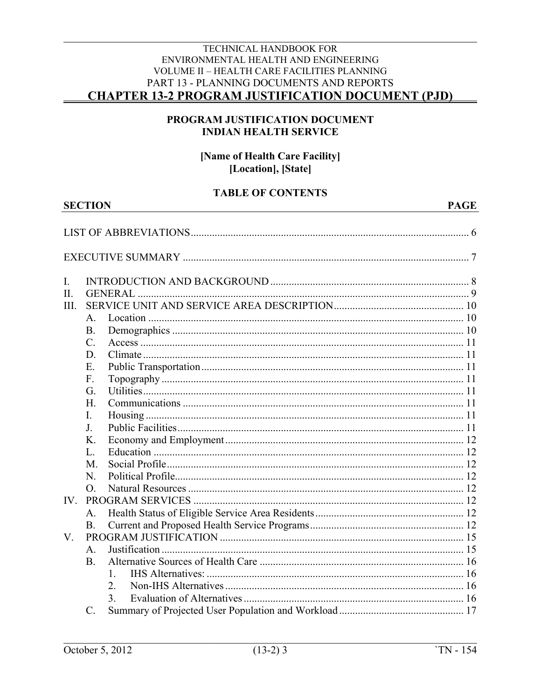#### PROGRAM JUSTIFICATION DOCUMENT **INDIAN HEALTH SERVICE**

#### [Name of Health Care Facility] [Location], [State]

#### **TABLE OF CONTENTS**

|         | <b>SECTION</b><br><b>PAGE</b> |    |  |
|---------|-------------------------------|----|--|
|         |                               |    |  |
|         |                               |    |  |
|         |                               |    |  |
| I.      |                               |    |  |
| II.     |                               |    |  |
| III.    |                               |    |  |
|         | Α.                            |    |  |
|         | <b>B.</b>                     |    |  |
|         | $\mathcal{C}$ .               |    |  |
|         | D.                            |    |  |
|         | Ε.                            |    |  |
|         | F.                            |    |  |
|         | G.                            |    |  |
|         | H.                            |    |  |
|         | $\mathbf{I}$ .                |    |  |
|         | J.                            |    |  |
|         | Κ.                            |    |  |
|         | L.                            |    |  |
|         | M.                            |    |  |
|         | N.                            |    |  |
|         | O.                            |    |  |
| IV.     |                               |    |  |
|         | A.                            |    |  |
|         | <b>B.</b>                     |    |  |
| $V_{.}$ |                               |    |  |
|         | $A$ .                         |    |  |
|         | <b>B.</b>                     |    |  |
|         |                               | 1. |  |
|         |                               | 2. |  |
|         |                               | 3. |  |
|         | $\mathcal{C}$ .               |    |  |

**SECTION**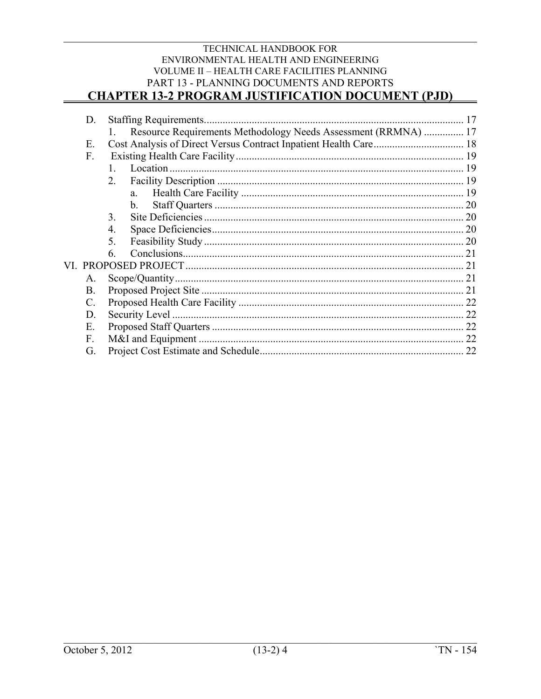### TECHNICAL HANDBOOK FOR ENVIRONMENTAL HEALTH AND ENGINEERING VOLUME II - HEALTH CARE FACILITIES PLANNING PART 13 - PLANNING DOCUMENTS AND REPORTS

### **CHAPTER 13-2 PROGRAM JUSTIFICATION DOCUMENT (PJD)**

| D.          |                |                                                                |  |
|-------------|----------------|----------------------------------------------------------------|--|
|             |                | Resource Requirements Methodology Needs Assessment (RRMNA)  17 |  |
| Ε.          |                |                                                                |  |
| F.          |                |                                                                |  |
|             |                |                                                                |  |
|             | 2.             |                                                                |  |
|             |                | $a_{\cdot}$                                                    |  |
|             |                | $\mathbf{b}$ .                                                 |  |
|             | 3.             |                                                                |  |
|             | 4.             |                                                                |  |
|             | 5 <sub>1</sub> |                                                                |  |
|             | 6.             |                                                                |  |
|             |                |                                                                |  |
| A.          |                |                                                                |  |
| B.          |                |                                                                |  |
| $C_{\cdot}$ |                |                                                                |  |
| D.          |                |                                                                |  |
| Ε.          |                |                                                                |  |
| $F_{\cdot}$ |                |                                                                |  |
| G.          |                |                                                                |  |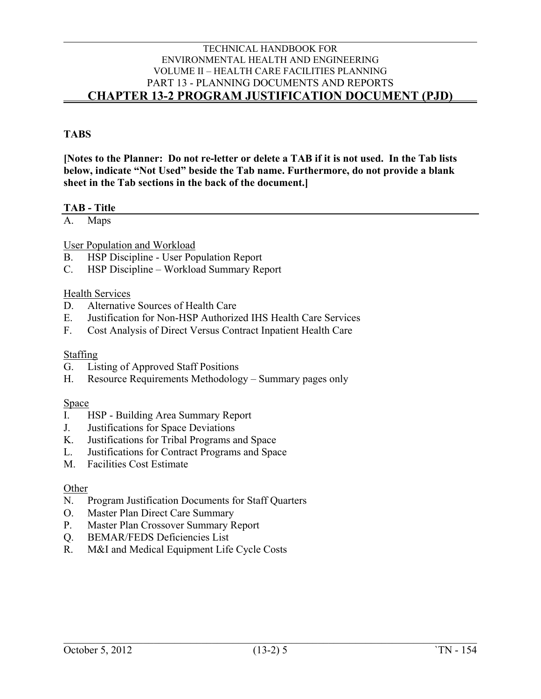#### **TABS**

**[Notes to the Planner: Do not re-letter or delete a TAB if it is not used. In the Tab lists below, indicate "Not Used" beside the Tab name. Furthermore, do not provide a blank sheet in the Tab sections in the back of the document.]**

#### **TAB - Title**

A. Maps

User Population and Workload

- B. HSP Discipline User Population Report
- C. HSP Discipline Workload Summary Report

#### Health Services

- D. Alternative Sources of Health Care
- E. Justification for Non-HSP Authorized IHS Health Care Services
- F. Cost Analysis of Direct Versus Contract Inpatient Health Care

#### Staffing

- G. Listing of Approved Staff Positions
- H. Resource Requirements Methodology Summary pages only

#### Space

- I. HSP Building Area Summary Report
- J. Justifications for Space Deviations
- K. Justifications for Tribal Programs and Space
- L. Justifications for Contract Programs and Space
- M. Facilities Cost Estimate

#### **Other**

- N. Program Justification Documents for Staff Quarters
- O. Master Plan Direct Care Summary
- P. Master Plan Crossover Summary Report
- Q. BEMAR/FEDS Deficiencies List
- R. M&I and Medical Equipment Life Cycle Costs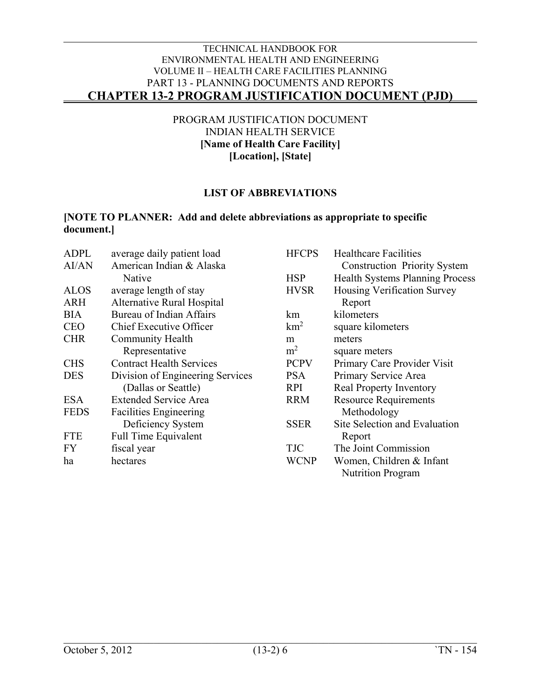PROGRAM JUSTIFICATION DOCUMENT INDIAN HEALTH SERVICE **[Name of Health Care Facility] [Location], [State]**

#### **LIST OF ABBREVIATIONS**

#### <span id="page-6-0"></span>**[NOTE TO PLANNER: Add and delete abbreviations as appropriate to specific document.]**

| ADPL        | average daily patient load       | <b>HFCPS</b>    | <b>Healthcare Facilities</b>           |
|-------------|----------------------------------|-----------------|----------------------------------------|
| AI/AN       | American Indian & Alaska         |                 | <b>Construction Priority System</b>    |
|             | Native                           | <b>HSP</b>      | <b>Health Systems Planning Process</b> |
| <b>ALOS</b> | average length of stay           | <b>HVSR</b>     | Housing Verification Survey            |
| <b>ARH</b>  | Alternative Rural Hospital       |                 | Report                                 |
| <b>BIA</b>  | Bureau of Indian Affairs         | km              | kilometers                             |
| <b>CEO</b>  | Chief Executive Officer          | km <sup>2</sup> | square kilometers                      |
| <b>CHR</b>  | <b>Community Health</b>          | m               | meters                                 |
|             | Representative                   | m <sup>2</sup>  | square meters                          |
| <b>CHS</b>  | <b>Contract Health Services</b>  | <b>PCPV</b>     | Primary Care Provider Visit            |
| <b>DES</b>  | Division of Engineering Services | <b>PSA</b>      | Primary Service Area                   |
|             | (Dallas or Seattle)              | <b>RPI</b>      | <b>Real Property Inventory</b>         |
| <b>ESA</b>  | <b>Extended Service Area</b>     | <b>RRM</b>      | <b>Resource Requirements</b>           |
| <b>FEDS</b> | <b>Facilities Engineering</b>    |                 | Methodology                            |
|             | Deficiency System                | <b>SSER</b>     | Site Selection and Evaluation          |
| <b>FTE</b>  | <b>Full Time Equivalent</b>      |                 | Report                                 |
| <b>FY</b>   | fiscal year                      | <b>TJC</b>      | The Joint Commission                   |
| ha          | hectares                         | <b>WCNP</b>     | Women, Children & Infant               |
|             |                                  |                 | <b>Nutrition Program</b>               |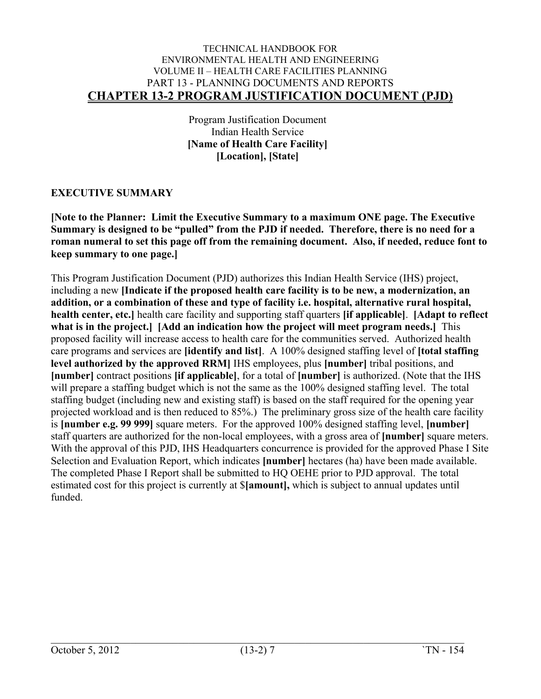Program Justification Document Indian Health Service **[Name of Health Care Facility] [Location], [State]**

#### <span id="page-7-0"></span>**EXECUTIVE SUMMARY**

**[Note to the Planner: Limit the Executive Summary to a maximum ONE page. The Executive Summary is designed to be "pulled" from the PJD if needed. Therefore, there is no need for a roman numeral to set this page off from the remaining document. Also, if needed, reduce font to keep summary to one page.]**

This Program Justification Document (PJD) authorizes this Indian Health Service (IHS) project, including a new **[Indicate if the proposed health care facility is to be new, a modernization, an addition, or a combination of these and type of facility i.e. hospital, alternative rural hospital, health center, etc.]** health care facility and supporting staff quarters **[if applicable]**. **[Adapt to reflect what is in the project.] [Add an indication how the project will meet program needs.]** This proposed facility will increase access to health care for the communities served. Authorized health care programs and services are **[identify and list]**. A 100% designed staffing level of **[total staffing level authorized by the approved RRM]** IHS employees, plus **[number]** tribal positions, and **[number]** contract positions **[if applicable]**, for a total of **[number]** is authorized. (Note that the IHS will prepare a staffing budget which is not the same as the 100% designed staffing level. The total staffing budget (including new and existing staff) is based on the staff required for the opening year projected workload and is then reduced to 85%.) The preliminary gross size of the health care facility is **[number e.g. 99 999]** square meters. For the approved 100% designed staffing level, **[number]** staff quarters are authorized for the non-local employees, with a gross area of **[number]** square meters. With the approval of this PJD, IHS Headquarters concurrence is provided for the approved Phase I Site Selection and Evaluation Report, which indicates **[number]** hectares (ha) have been made available. The completed Phase I Report shall be submitted to HQ OEHE prior to PJD approval. The total estimated cost for this project is currently at \$**[amount],** which is subject to annual updates until funded.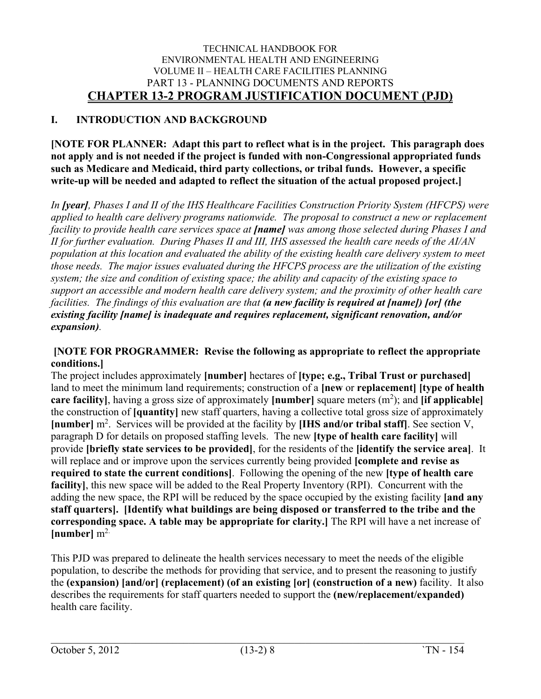### <span id="page-8-0"></span>**I. INTRODUCTION AND BACKGROUND**

**[NOTE FOR PLANNER: Adapt this part to reflect what is in the project. This paragraph does not apply and is not needed if the project is funded with non-Congressional appropriated funds such as Medicare and Medicaid, third party collections, or tribal funds. However, a specific write-up will be needed and adapted to reflect the situation of the actual proposed project.]** 

*In [year], Phases I and II of the IHS Healthcare Facilities Construction Priority System (HFCPS) were applied to health care delivery programs nationwide. The proposal to construct a new or replacement facility to provide health care services space at [name] was among those selected during Phases I and II for further evaluation. During Phases II and III, IHS assessed the health care needs of the AI/AN population at this location and evaluated the ability of the existing health care delivery system to meet those needs. The major issues evaluated during the HFCPS process are the utilization of the existing system; the size and condition of existing space; the ability and capacity of the existing space to support an accessible and modern health care delivery system; and the proximity of other health care facilities. The findings of this evaluation are that (a new facility is required at [name]) [or] (the existing facility [name] is inadequate and requires replacement, significant renovation, and/or expansion).*

#### **[NOTE FOR PROGRAMMER: Revise the following as appropriate to reflect the appropriate conditions.]**

The project includes approximately **[number]** hectares of **[type; e.g., Tribal Trust or purchased]** land to meet the minimum land requirements; construction of a **[new** or **replacement] [type of health**  care facility], having a gross size of approximately [number] square meters (m<sup>2</sup>); and [if applicable] the construction of **[quantity]** new staff quarters, having a collective total gross size of approximately [number] m<sup>2</sup>. Services will be provided at the facility by [IHS and/or tribal staff]. See section V, paragraph D for details on proposed staffing levels. The new **[type of health care facility]** will provide **[briefly state services to be provided]**, for the residents of the **[identify the service area]**. It will replace and or improve upon the services currently being provided **[complete and revise as required to state the current conditions]**. Following the opening of the new **[type of health care facility]**, this new space will be added to the Real Property Inventory (RPI). Concurrent with the adding the new space, the RPI will be reduced by the space occupied by the existing facility **[and any staff quarters]. [Identify what buildings are being disposed or transferred to the tribe and the corresponding space. A table may be appropriate for clarity.]** The RPI will have a net increase of  $[number]$  m<sup>2.</sup>

This PJD was prepared to delineate the health services necessary to meet the needs of the eligible population, to describe the methods for providing that service, and to present the reasoning to justify the **(expansion) [and/or] (replacement) (of an existing [or] (construction of a new)** facility. It also describes the requirements for staff quarters needed to support the **(new/replacement/expanded)** health care facility.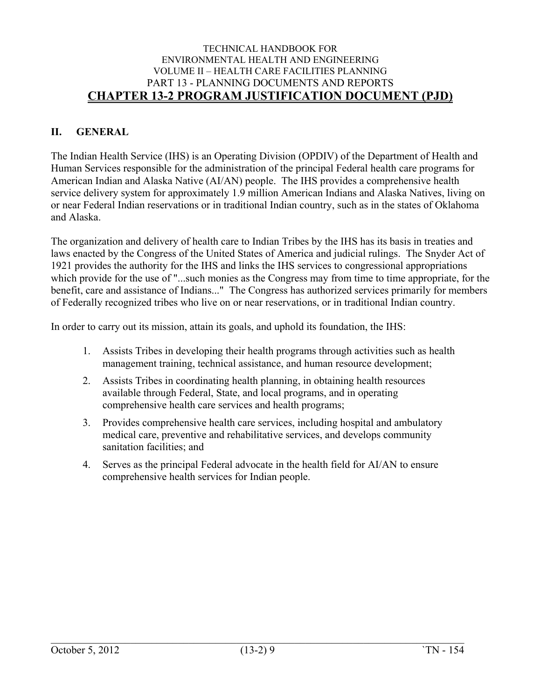#### <span id="page-9-0"></span>**II. GENERAL**

The Indian Health Service (IHS) is an Operating Division (OPDIV) of the Department of Health and Human Services responsible for the administration of the principal Federal health care programs for American Indian and Alaska Native (AI/AN) people. The IHS provides a comprehensive health service delivery system for approximately 1.9 million American Indians and Alaska Natives, living on or near Federal Indian reservations or in traditional Indian country, such as in the states of Oklahoma and Alaska.

The organization and delivery of health care to Indian Tribes by the IHS has its basis in treaties and laws enacted by the Congress of the United States of America and judicial rulings. The Snyder Act of 1921 provides the authority for the IHS and links the IHS services to congressional appropriations which provide for the use of "...such monies as the Congress may from time to time appropriate, for the benefit, care and assistance of Indians..." The Congress has authorized services primarily for members of Federally recognized tribes who live on or near reservations, or in traditional Indian country.

In order to carry out its mission, attain its goals, and uphold its foundation, the IHS:

- 1. Assists Tribes in developing their health programs through activities such as health management training, technical assistance, and human resource development;
- 2. Assists Tribes in coordinating health planning, in obtaining health resources available through Federal, State, and local programs, and in operating comprehensive health care services and health programs;
- 3. Provides comprehensive health care services, including hospital and ambulatory medical care, preventive and rehabilitative services, and develops community sanitation facilities; and
- 4. Serves as the principal Federal advocate in the health field for AI/AN to ensure comprehensive health services for Indian people.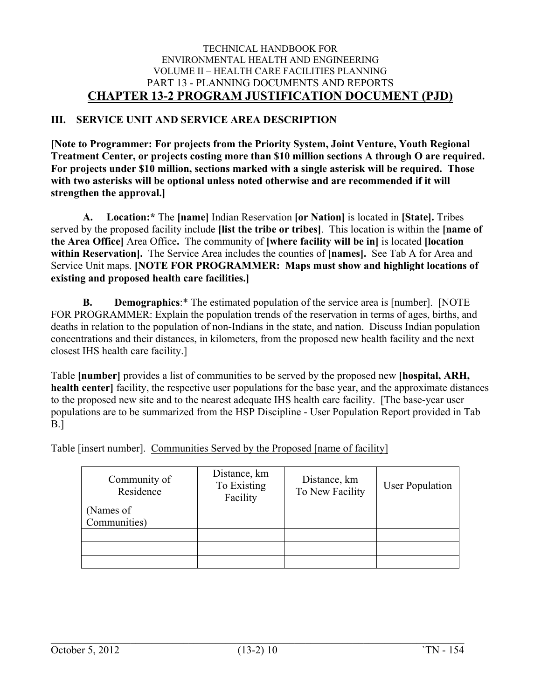#### <span id="page-10-0"></span>**III. SERVICE UNIT AND SERVICE AREA DESCRIPTION**

**[Note to Programmer: For projects from the Priority System, Joint Venture, Youth Regional Treatment Center, or projects costing more than \$10 million sections A through O are required. For projects under \$10 million, sections marked with a single asterisk will be required. Those with two asterisks will be optional unless noted otherwise and are recommended if it will strengthen the approval.]**

<span id="page-10-1"></span>**A. Location:\*** The **[name]** Indian Reservation **[or Nation]** is located in **[State].** Tribes served by the proposed facility include **[list the tribe or tribes]**. This location is within the **[name of the Area Office]** Area Office**.** The community of **[where facility will be in]** is located **[location within Reservation].** The Service Area includes the counties of **[names].** See Tab A for Area and Service Unit maps. **[NOTE FOR PROGRAMMER: Maps must show and highlight locations of existing and proposed health care facilities.]**

<span id="page-10-2"></span>**B. Demographics**:\* The estimated population of the service area is [number]. [NOTE FOR PROGRAMMER: Explain the population trends of the reservation in terms of ages, births, and deaths in relation to the population of non-Indians in the state, and nation. Discuss Indian population concentrations and their distances, in kilometers, from the proposed new health facility and the next closest IHS health care facility.]

Table **[number]** provides a list of communities to be served by the proposed new **[hospital, ARH, health center** facility, the respective user populations for the base year, and the approximate distances to the proposed new site and to the nearest adequate IHS health care facility. [The base-year user populations are to be summarized from the HSP Discipline - User Population Report provided in Tab B.]

Table [insert number]. Communities Served by the Proposed [name of facility]

| Community of<br>Residence | Distance, km<br>To Existing<br>Facility | Distance, km<br>To New Facility | <b>User Population</b> |
|---------------------------|-----------------------------------------|---------------------------------|------------------------|
| (Names of<br>Communities) |                                         |                                 |                        |
|                           |                                         |                                 |                        |
|                           |                                         |                                 |                        |
|                           |                                         |                                 |                        |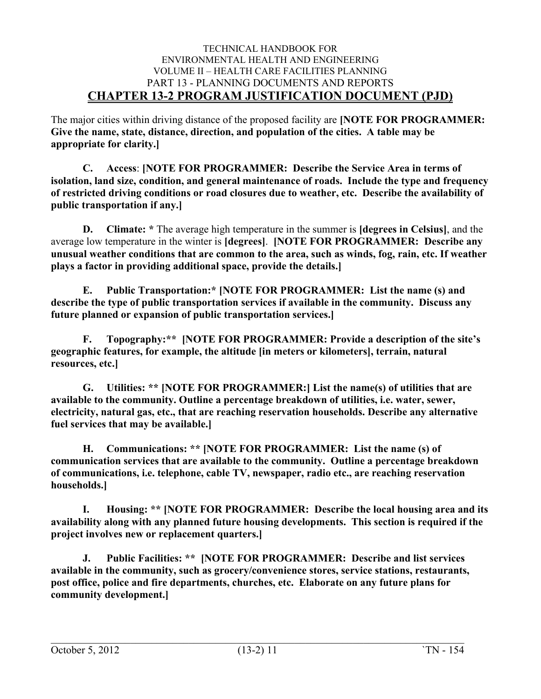The major cities within driving distance of the proposed facility are **[NOTE FOR PROGRAMMER: Give the name, state, distance, direction, and population of the cities. A table may be appropriate for clarity.]**

<span id="page-11-0"></span>**C. Access**: **[NOTE FOR PROGRAMMER: Describe the Service Area in terms of isolation, land size, condition, and general maintenance of roads. Include the type and frequency of restricted driving conditions or road closures due to weather, etc. Describe the availability of public transportation if any.]**

<span id="page-11-1"></span>**D. Climate: \*** The average high temperature in the summer is **[degrees in Celsius]**, and the average low temperature in the winter is **[degrees]**. **[NOTE FOR PROGRAMMER: Describe any unusual weather conditions that are common to the area, such as winds, fog, rain, etc. If weather plays a factor in providing additional space, provide the details.]**

<span id="page-11-2"></span>**E. Public Transportation:\* [NOTE FOR PROGRAMMER: List the name (s) and describe the type of public transportation services if available in the community. Discuss any future planned or expansion of public transportation services.]**

<span id="page-11-3"></span>**F. Topography:\*\* [NOTE FOR PROGRAMMER: Provide a description of the site's geographic features, for example, the altitude [in meters or kilometers], terrain, natural resources, etc.]**

<span id="page-11-4"></span>**G. Utilities: \*\* [NOTE FOR PROGRAMMER:] List the name(s) of utilities that are available to the community. Outline a percentage breakdown of utilities, i.e. water, sewer, electricity, natural gas, etc., that are reaching reservation households. Describe any alternative fuel services that may be available.]**

<span id="page-11-5"></span>**H. Communications: \*\* [NOTE FOR PROGRAMMER: List the name (s) of communication services that are available to the community. Outline a percentage breakdown of communications, i.e. telephone, cable TV, newspaper, radio etc., are reaching reservation households.]** 

<span id="page-11-6"></span>**I. Housing: \*\* [NOTE FOR PROGRAMMER: Describe the local housing area and its availability along with any planned future housing developments. This section is required if the project involves new or replacement quarters.]**

<span id="page-11-7"></span>**J. Public Facilities: \*\* [NOTE FOR PROGRAMMER: Describe and list services available in the community, such as grocery/convenience stores, service stations, restaurants, post office, police and fire departments, churches, etc. Elaborate on any future plans for community development.]**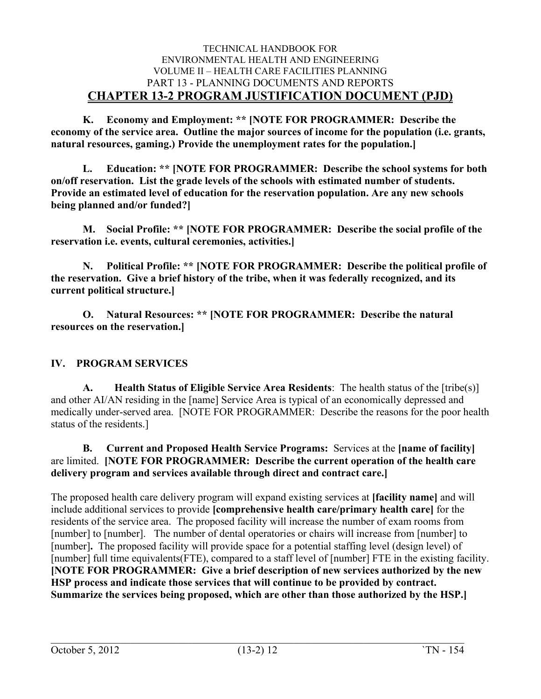<span id="page-12-0"></span>**K. Economy and Employment: \*\* [NOTE FOR PROGRAMMER: Describe the economy of the service area. Outline the major sources of income for the population (i.e. grants, natural resources, gaming.) Provide the unemployment rates for the population.]**

<span id="page-12-1"></span>**L. Education: \*\* [NOTE FOR PROGRAMMER: Describe the school systems for both on/off reservation. List the grade levels of the schools with estimated number of students. Provide an estimated level of education for the reservation population. Are any new schools being planned and/or funded?]**

<span id="page-12-2"></span>**M. Social Profile: \*\* [NOTE FOR PROGRAMMER: Describe the social profile of the reservation i.e. events, cultural ceremonies, activities.]**

<span id="page-12-3"></span>**N. Political Profile: \*\* [NOTE FOR PROGRAMMER: Describe the political profile of the reservation. Give a brief history of the tribe, when it was federally recognized, and its current political structure.]**

<span id="page-12-4"></span>**O. Natural Resources: \*\* [NOTE FOR PROGRAMMER: Describe the natural resources on the reservation.]**

#### <span id="page-12-5"></span>**IV. PROGRAM SERVICES**

<span id="page-12-6"></span>**A. Health Status of Eligible Service Area Residents**: The health status of the [tribe(s)] and other AI/AN residing in the [name] Service Area is typical of an economically depressed and medically under-served area. [NOTE FOR PROGRAMMER: Describe the reasons for the poor health status of the residents.]

<span id="page-12-7"></span>**B. Current and Proposed Health Service Programs:** Services at the **[name of facility]** are limited. **[NOTE FOR PROGRAMMER: Describe the current operation of the health care delivery program and services available through direct and contract care.]**

The proposed health care delivery program will expand existing services at **[facility name]** and will include additional services to provide **[comprehensive health care/primary health care]** for the residents of the service area. The proposed facility will increase the number of exam rooms from [number] to [number]. The number of dental operatories or chairs will increase from [number] to [number]**.** The proposed facility will provide space for a potential staffing level (design level) of [number] full time equivalents(FTE), compared to a staff level of [number] FTE in the existing facility. **[NOTE FOR PROGRAMMER: Give a brief description of new services authorized by the new HSP process and indicate those services that will continue to be provided by contract. Summarize the services being proposed, which are other than those authorized by the HSP.]**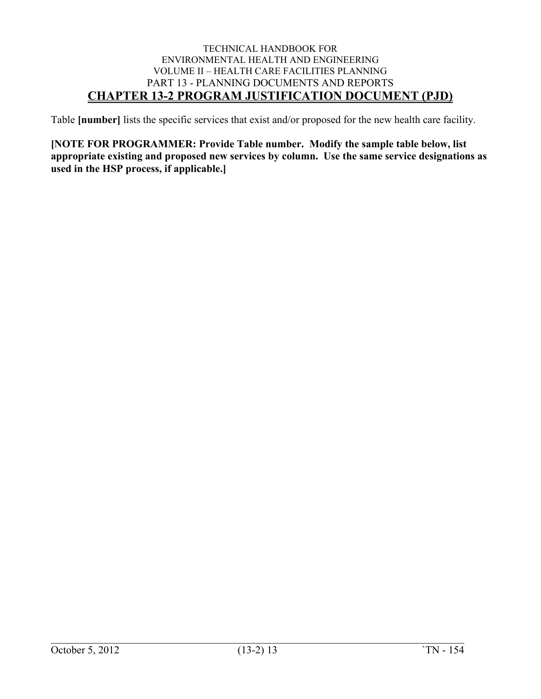Table **[number]** lists the specific services that exist and/or proposed for the new health care facility.

**[NOTE FOR PROGRAMMER: Provide Table number. Modify the sample table below, list appropriate existing and proposed new services by column. Use the same service designations as used in the HSP process, if applicable.]**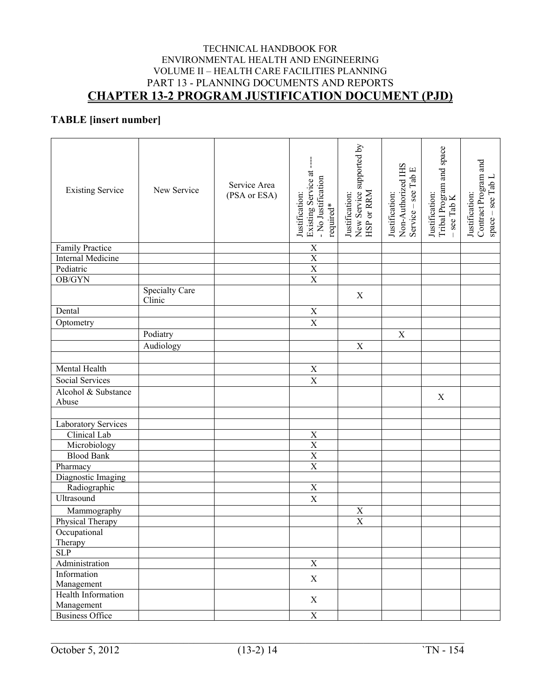### **TABLE [insert number]**

| <b>Existing Service</b>   | New Service              | Service Area<br>(PSA or ESA) | Existing Service at<br>- No Justification<br>Justification:<br>required* | New Service supported by<br>HSP or RRM<br>Justification: | $\begin{array}{l} \text{Non-Authorized IHS}\\ \text{Service – see Tab E} \end{array}$<br>Justification: | Tribal Program and space<br>- see Tab K<br>Justification: | Contract Program and<br>$space - see TabL$<br>Justification: |
|---------------------------|--------------------------|------------------------------|--------------------------------------------------------------------------|----------------------------------------------------------|---------------------------------------------------------------------------------------------------------|-----------------------------------------------------------|--------------------------------------------------------------|
| Family Practice           |                          |                              | $\mathbf X$                                                              |                                                          |                                                                                                         |                                                           |                                                              |
| <b>Internal Medicine</b>  |                          |                              | $\mathbf X$                                                              |                                                          |                                                                                                         |                                                           |                                                              |
| Pediatric                 |                          |                              | $\overline{\textbf{X}}$                                                  |                                                          |                                                                                                         |                                                           |                                                              |
| OB/GYN                    |                          |                              | $\overline{\textbf{X}}$                                                  |                                                          |                                                                                                         |                                                           |                                                              |
|                           | Specialty Care<br>Clinic |                              |                                                                          | X                                                        |                                                                                                         |                                                           |                                                              |
| Dental                    |                          |                              | X                                                                        |                                                          |                                                                                                         |                                                           |                                                              |
| Optometry                 |                          |                              | $\overline{\text{X}}$                                                    |                                                          |                                                                                                         |                                                           |                                                              |
|                           | Podiatry                 |                              |                                                                          |                                                          | $\mathbf X$                                                                                             |                                                           |                                                              |
|                           | Audiology                |                              |                                                                          | $\mathbf X$                                              |                                                                                                         |                                                           |                                                              |
|                           |                          |                              |                                                                          |                                                          |                                                                                                         |                                                           |                                                              |
| Mental Health             |                          |                              | $\mathbf X$                                                              |                                                          |                                                                                                         |                                                           |                                                              |
| Social Services           |                          |                              | $\mathbf X$                                                              |                                                          |                                                                                                         |                                                           |                                                              |
| Alcohol & Substance       |                          |                              |                                                                          |                                                          |                                                                                                         |                                                           |                                                              |
| Abuse                     |                          |                              |                                                                          |                                                          |                                                                                                         | $\mathbf X$                                               |                                                              |
|                           |                          |                              |                                                                          |                                                          |                                                                                                         |                                                           |                                                              |
| Laboratory Services       |                          |                              |                                                                          |                                                          |                                                                                                         |                                                           |                                                              |
| Clinical Lab              |                          |                              | $\mathbf X$                                                              |                                                          |                                                                                                         |                                                           |                                                              |
| Microbiology              |                          |                              | $\overline{X}$                                                           |                                                          |                                                                                                         |                                                           |                                                              |
| <b>Blood Bank</b>         |                          |                              | $\overline{X}$                                                           |                                                          |                                                                                                         |                                                           |                                                              |
| Pharmacy                  |                          |                              | $\overline{X}$                                                           |                                                          |                                                                                                         |                                                           |                                                              |
| Diagnostic Imaging        |                          |                              |                                                                          |                                                          |                                                                                                         |                                                           |                                                              |
| Radiographic              |                          |                              | $\mathbf X$                                                              |                                                          |                                                                                                         |                                                           |                                                              |
| Ultrasound                |                          |                              | $\mathbf X$                                                              |                                                          |                                                                                                         |                                                           |                                                              |
| Mammography               |                          |                              |                                                                          |                                                          |                                                                                                         |                                                           |                                                              |
| Physical Therapy          |                          |                              |                                                                          | $\frac{X}{X}$                                            |                                                                                                         |                                                           |                                                              |
| Occupational              |                          |                              |                                                                          |                                                          |                                                                                                         |                                                           |                                                              |
| Therapy                   |                          |                              |                                                                          |                                                          |                                                                                                         |                                                           |                                                              |
| SLP                       |                          |                              |                                                                          |                                                          |                                                                                                         |                                                           |                                                              |
| Administration            |                          |                              | $\overline{X}$                                                           |                                                          |                                                                                                         |                                                           |                                                              |
| Information               |                          |                              |                                                                          |                                                          |                                                                                                         |                                                           |                                                              |
| Management                |                          |                              | $\mathbf X$                                                              |                                                          |                                                                                                         |                                                           |                                                              |
| <b>Health Information</b> |                          |                              | $\mathbf X$                                                              |                                                          |                                                                                                         |                                                           |                                                              |
| Management                |                          |                              |                                                                          |                                                          |                                                                                                         |                                                           |                                                              |
| <b>Business Office</b>    |                          |                              | $\mathbf X$                                                              |                                                          |                                                                                                         |                                                           |                                                              |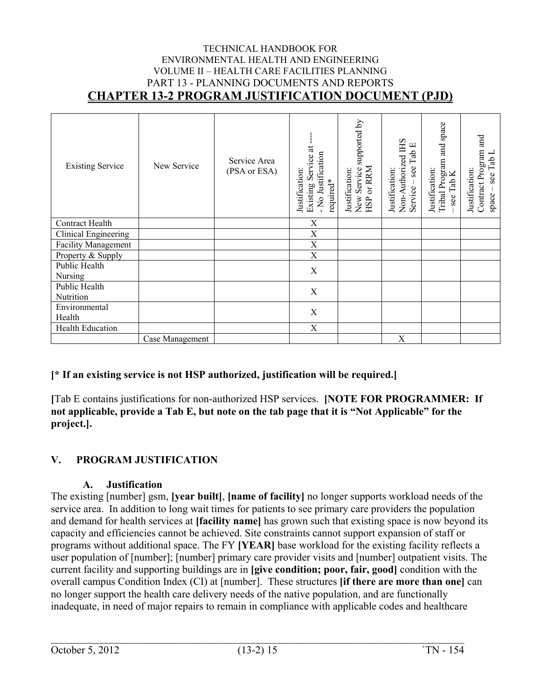| <b>Existing Service</b> | New Service     | Service Area<br>(PSA or ESA) | đ<br>- No Justification<br>Existing Service<br>Justification:<br>required* | supported by<br>HSP or RRM<br>New Service<br>Justification: | Non-Authorized IHS<br>Service – see Tab E<br>Justification: | space<br>and<br>Tribal Program<br>Justification:<br>see Tab K | Contract Program and<br>Tab L<br>Justification:<br>see<br>space |
|-------------------------|-----------------|------------------------------|----------------------------------------------------------------------------|-------------------------------------------------------------|-------------------------------------------------------------|---------------------------------------------------------------|-----------------------------------------------------------------|
| Contract Health         |                 |                              | X                                                                          |                                                             |                                                             |                                                               |                                                                 |
| Clinical Engineering    |                 |                              | X                                                                          |                                                             |                                                             |                                                               |                                                                 |
| Facility Management     |                 |                              | X                                                                          |                                                             |                                                             |                                                               |                                                                 |
| Property & Supply       |                 |                              | $\mathbf X$                                                                |                                                             |                                                             |                                                               |                                                                 |
| Public Health           |                 |                              | $\mathbf X$                                                                |                                                             |                                                             |                                                               |                                                                 |
| Nursing                 |                 |                              |                                                                            |                                                             |                                                             |                                                               |                                                                 |
| Public Health           |                 |                              | $\mathbf X$                                                                |                                                             |                                                             |                                                               |                                                                 |
| Nutrition               |                 |                              |                                                                            |                                                             |                                                             |                                                               |                                                                 |
| Environmental           |                 |                              | X                                                                          |                                                             |                                                             |                                                               |                                                                 |
| Health                  |                 |                              |                                                                            |                                                             |                                                             |                                                               |                                                                 |
| Health Education        |                 |                              | X                                                                          |                                                             |                                                             |                                                               |                                                                 |
|                         | Case Management |                              |                                                                            |                                                             | X                                                           |                                                               |                                                                 |

#### **[\* If an existing service is not HSP authorized, justification will be required.]**

**[**Tab E contains justifications for non-authorized HSP services. **[NOTE FOR PROGRAMMER: If not applicable, provide a Tab E, but note on the tab page that it is "Not Applicable" for the project.].**

#### <span id="page-15-0"></span>**V. PROGRAM JUSTIFICATION**

#### <span id="page-15-1"></span>**A. Justification**

The existing [number] gsm, **[year built]**, **[name of facility]** no longer supports workload needs of the service area. In addition to long wait times for patients to see primary care providers the population and demand for health services at **[facility name]** has grown such that existing space is now beyond its capacity and efficiencies cannot be achieved. Site constraints cannot support expansion of staff or programs without additional space. The FY **[YEAR]** base workload for the existing facility reflects a user population of [number]; [number] primary care provider visits and [number] outpatient visits. The current facility and supporting buildings are in **[give condition; poor, fair, good]** condition with the overall campus Condition Index (CI) at [number]. These structures **[if there are more than one]** can no longer support the health care delivery needs of the native population, and are functionally inadequate, in need of major repairs to remain in compliance with applicable codes and healthcare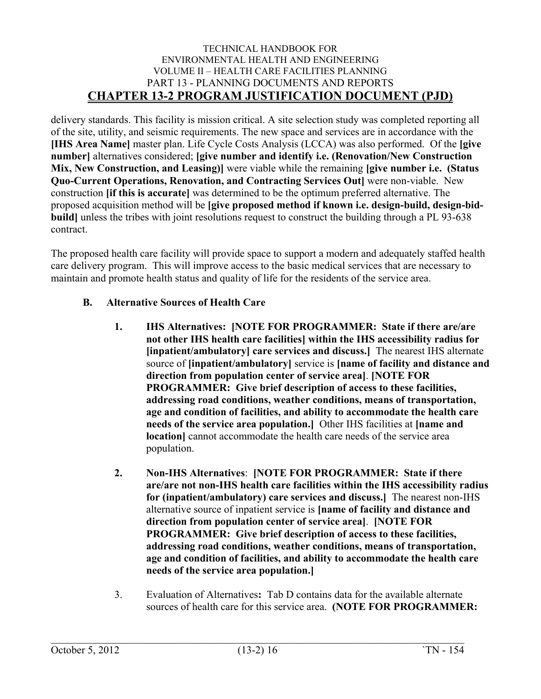delivery standards. This facility is mission critical. A site selection study was completed reporting all of the site, utility, and seismic requirements. The new space and services are in accordance with the **[IHS Area Name]** master plan. Life Cycle Costs Analysis (LCCA) was also performed. Of the **[give number]** alternatives considered; **[give number and identify i.e. (Renovation/New Construction Mix, New Construction, and Leasing)]** were viable while the remaining **[give number i.e. (Status Quo-Current Operations, Renovation, and Contracting Services Out]** were non-viable. New construction **[if this is accurate]** was determined to be the optimum preferred alternative. The proposed acquisition method will be **[give proposed method if known i.e. design-build, design-bidbuild]** unless the tribes with joint resolutions request to construct the building through a PL 93-638 contract.

The proposed health care facility will provide space to support a modern and adequately staffed health care delivery program. This will improve access to the basic medical services that are necessary to maintain and promote health status and quality of life for the residents of the service area.

#### <span id="page-16-1"></span><span id="page-16-0"></span>**B. Alternative Sources of Health Care**

- **1. IHS Alternatives: [NOTE FOR PROGRAMMER: State if there are/are not other IHS health care facilities] within the IHS accessibility radius for [inpatient/ambulatory] care services and discuss.]** The nearest IHS alternate source of **[inpatient/ambulatory]** service is **[name of facility and distance and direction from population center of service area]**. **[NOTE FOR PROGRAMMER: Give brief description of access to these facilities, addressing road conditions, weather conditions, means of transportation, age and condition of facilities, and ability to accommodate the health care needs of the service area population.]** Other IHS facilities at **[name and location**] cannot accommodate the health care needs of the service area population.
- <span id="page-16-2"></span>**2. Non-IHS Alternatives**: **[NOTE FOR PROGRAMMER: State if there are/are not non-IHS health care facilities within the IHS accessibility radius for (inpatient/ambulatory) care services and discuss.]** The nearest non-IHS alternative source of inpatient service is **[name of facility and distance and direction from population center of service area]**. **[NOTE FOR PROGRAMMER: Give brief description of access to these facilities, addressing road conditions, weather conditions, means of transportation, age and condition of facilities, and ability to accommodate the health care needs of the service area population.]**
- <span id="page-16-3"></span>3. Evaluation of Alternatives**:** Tab D contains data for the available alternate sources of health care for this service area. **(NOTE FOR PROGRAMMER:**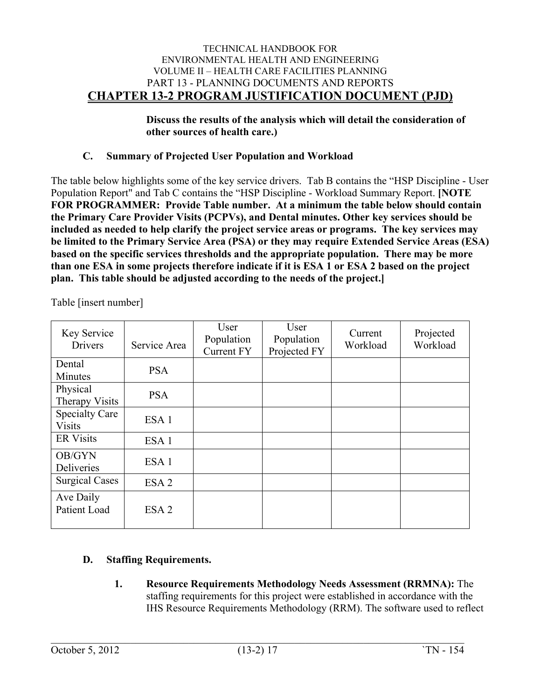**Discuss the results of the analysis which will detail the consideration of other sources of health care.)**

#### <span id="page-17-0"></span>**C. Summary of Projected User Population and Workload**

The table below highlights some of the key service drivers.Tab B contains the "HSP Discipline - User Population Report" and Tab C contains the "HSP Discipline - Workload Summary Report. **[NOTE FOR PROGRAMMER: Provide Table number. At a minimum the table below should contain the Primary Care Provider Visits (PCPVs), and Dental minutes. Other key services should be included as needed to help clarify the project service areas or programs. The key services may be limited to the Primary Service Area (PSA) or they may require Extended Service Areas (ESA) based on the specific services thresholds and the appropriate population. There may be more than one ESA in some projects therefore indicate if it is ESA 1 or ESA 2 based on the project plan. This table should be adjusted according to the needs of the project.]** 

| Key Service<br><b>Drivers</b>          | Service Area     | User<br>Population<br><b>Current FY</b> | User<br>Population<br>Projected FY | Current<br>Workload | Projected<br>Workload |
|----------------------------------------|------------------|-----------------------------------------|------------------------------------|---------------------|-----------------------|
| Dental<br>Minutes                      | <b>PSA</b>       |                                         |                                    |                     |                       |
| Physical<br>Therapy Visits             | <b>PSA</b>       |                                         |                                    |                     |                       |
| <b>Specialty Care</b><br><b>Visits</b> | ESA <sub>1</sub> |                                         |                                    |                     |                       |
| <b>ER Visits</b>                       | ESA <sub>1</sub> |                                         |                                    |                     |                       |
| OB/GYN<br>Deliveries                   | ESA <sub>1</sub> |                                         |                                    |                     |                       |
| <b>Surgical Cases</b>                  | ESA <sub>2</sub> |                                         |                                    |                     |                       |
| Ave Daily<br>Patient Load              | ESA <sub>2</sub> |                                         |                                    |                     |                       |

Table [insert number]

### <span id="page-17-2"></span><span id="page-17-1"></span>**D. Staffing Requirements.**

**1. Resource Requirements Methodology Needs Assessment (RRMNA):** The staffing requirements for this project were established in accordance with the IHS Resource Requirements Methodology (RRM). The software used to reflect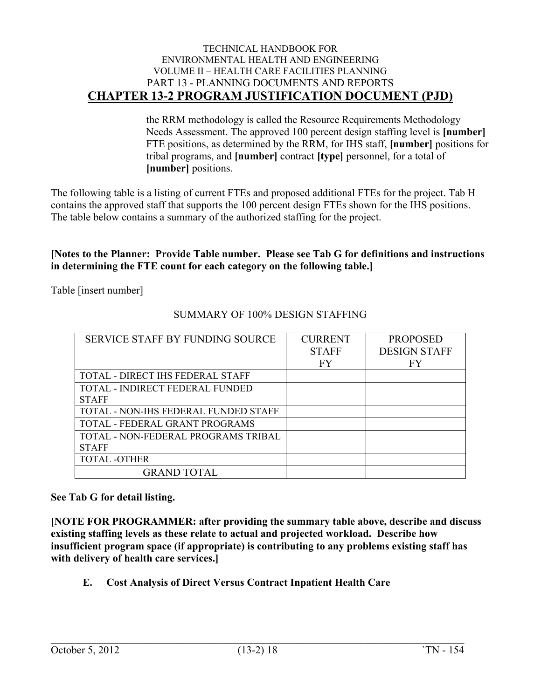the RRM methodology is called the Resource Requirements Methodology Needs Assessment. The approved 100 percent design staffing level is **[number]** FTE positions, as determined by the RRM, for IHS staff, **[number]** positions for tribal programs, and **[number]** contract **[type]** personnel, for a total of **[number]** positions.

The following table is a listing of current FTEs and proposed additional FTEs for the project. Tab H contains the approved staff that supports the 100 percent design FTEs shown for the IHS positions. The table below contains a summary of the authorized staffing for the project.

#### **[Notes to the Planner: Provide Table number. Please see Tab G for definitions and instructions in determining the FTE count for each category on the following table.]**

Table [insert number]

| SERVICE STAFF BY FUNDING SOURCE       | <b>CURRENT</b> | <b>PROPOSED</b>     |
|---------------------------------------|----------------|---------------------|
|                                       | <b>STAFF</b>   | <b>DESIGN STAFF</b> |
|                                       | FY             | FY                  |
| TOTAL - DIRECT IHS FEDERAL STAFF      |                |                     |
| TOTAL - INDIRECT FEDERAL FUNDED       |                |                     |
| <b>STAFF</b>                          |                |                     |
| TOTAL - NON-IHS FEDERAL FUNDED STAFF  |                |                     |
| <b>TOTAL - FEDERAL GRANT PROGRAMS</b> |                |                     |
| TOTAL - NON-FEDERAL PROGRAMS TRIBAL   |                |                     |
| <b>STAFF</b>                          |                |                     |
| <b>TOTAL -OTHER</b>                   |                |                     |
| <b>GRAND TOTAL</b>                    |                |                     |

### SUMMARY OF 100% DESIGN STAFFING

**See Tab G for detail listing.**

**[NOTE FOR PROGRAMMER: after providing the summary table above, describe and discuss existing staffing levels as these relate to actual and projected workload. Describe how insufficient program space (if appropriate) is contributing to any problems existing staff has with delivery of health care services.]**

<span id="page-18-0"></span>**E. Cost Analysis of Direct Versus Contract Inpatient Health Care**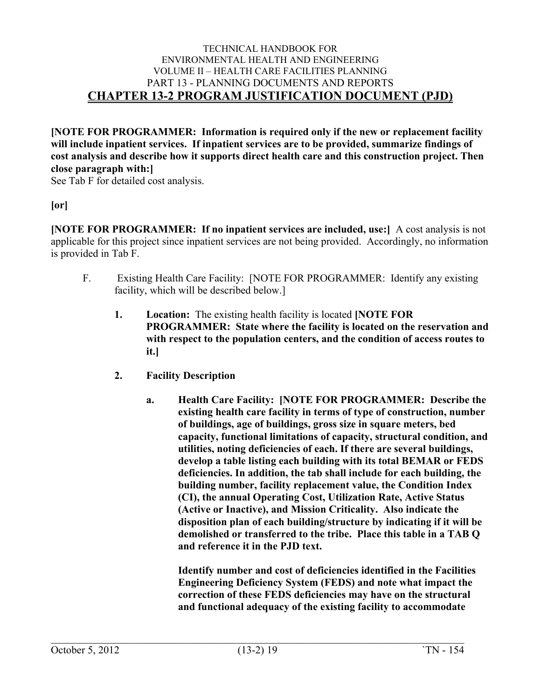**[NOTE FOR PROGRAMMER: Information is required only if the new or replacement facility will include inpatient services. If inpatient services are to be provided, summarize findings of cost analysis and describe how it supports direct health care and this construction project. Then close paragraph with:]**

See Tab F for detailed cost analysis.

#### **[or]**

**[NOTE FOR PROGRAMMER: If no inpatient services are included, use:]** A cost analysis is not applicable for this project since inpatient services are not being provided. Accordingly, no information is provided in Tab F.

- <span id="page-19-3"></span><span id="page-19-2"></span><span id="page-19-1"></span><span id="page-19-0"></span>F. Existing Health Care Facility: [NOTE FOR PROGRAMMER: Identify any existing facility, which will be described below.]
	- **1. Location:** The existing health facility is located **[NOTE FOR PROGRAMMER: State where the facility is located on the reservation and with respect to the population centers, and the condition of access routes to it.]**
	- **2. Facility Description**
		- **a. Health Care Facility: [NOTE FOR PROGRAMMER: Describe the existing health care facility in terms of type of construction, number of buildings, age of buildings, gross size in square meters, bed capacity, functional limitations of capacity, structural condition, and utilities, noting deficiencies of each. If there are several buildings, develop a table listing each building with its total BEMAR or FEDS deficiencies. In addition, the tab shall include for each building, the building number, facility replacement value, the Condition Index (CI), the annual Operating Cost, Utilization Rate, Active Status (Active or Inactive), and Mission Criticality. Also indicate the disposition plan of each building/structure by indicating if it will be demolished or transferred to the tribe. Place this table in a TAB Q and reference it in the PJD text.**

**Identify number and cost of deficiencies identified in the Facilities Engineering Deficiency System (FEDS) and note what impact the correction of these FEDS deficiencies may have on the structural and functional adequacy of the existing facility to accommodate**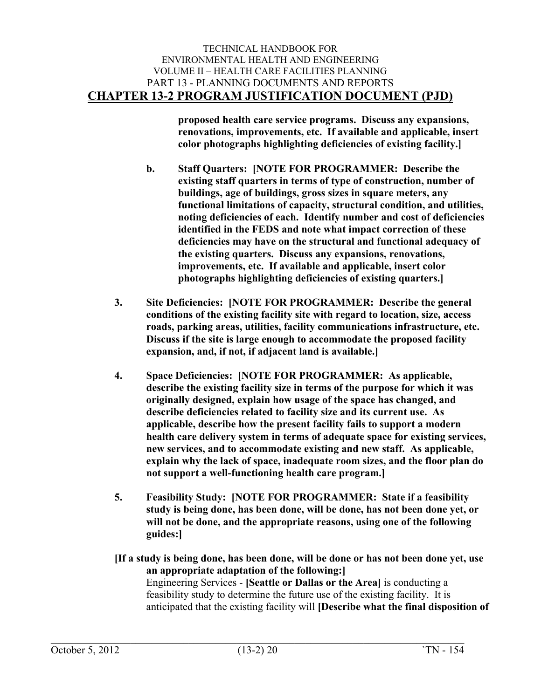**proposed health care service programs. Discuss any expansions, renovations, improvements, etc. If available and applicable, insert color photographs highlighting deficiencies of existing facility.]**

- <span id="page-20-0"></span>**b. Staff Quarters: [NOTE FOR PROGRAMMER: Describe the existing staff quarters in terms of type of construction, number of buildings, age of buildings, gross sizes in square meters, any functional limitations of capacity, structural condition, and utilities, noting deficiencies of each. Identify number and cost of deficiencies identified in the FEDS and note what impact correction of these deficiencies may have on the structural and functional adequacy of the existing quarters. Discuss any expansions, renovations, improvements, etc. If available and applicable, insert color photographs highlighting deficiencies of existing quarters.]**
- <span id="page-20-1"></span>**3. Site Deficiencies: [NOTE FOR PROGRAMMER: Describe the general conditions of the existing facility site with regard to location, size, access roads, parking areas, utilities, facility communications infrastructure, etc. Discuss if the site is large enough to accommodate the proposed facility expansion, and, if not, if adjacent land is available.]**
- <span id="page-20-2"></span>**4. Space Deficiencies: [NOTE FOR PROGRAMMER: As applicable, describe the existing facility size in terms of the purpose for which it was originally designed, explain how usage of the space has changed, and describe deficiencies related to facility size and its current use. As applicable, describe how the present facility fails to support a modern health care delivery system in terms of adequate space for existing services, new services, and to accommodate existing and new staff. As applicable, explain why the lack of space, inadequate room sizes, and the floor plan do not support a well-functioning health care program.]**
- <span id="page-20-3"></span>**5. Feasibility Study: [NOTE FOR PROGRAMMER: State if a feasibility study is being done, has been done, will be done, has not been done yet, or will not be done, and the appropriate reasons, using one of the following guides:]**

**[If a study is being done, has been done, will be done or has not been done yet, use an appropriate adaptation of the following:]** Engineering Services - **[Seattle or Dallas or the Area]** is conducting a feasibility study to determine the future use of the existing facility. It is anticipated that the existing facility will **[Describe what the final disposition of**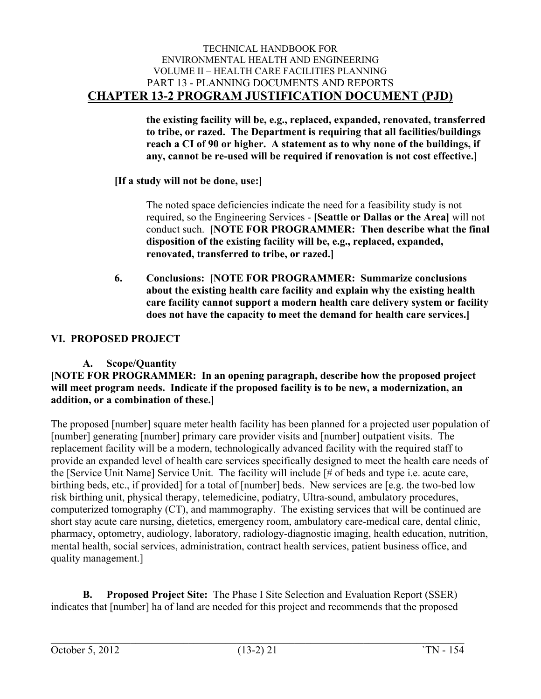**the existing facility will be, e.g., replaced, expanded, renovated, transferred to tribe, or razed. The Department is requiring that all facilities/buildings reach a CI of 90 or higher. A statement as to why none of the buildings, if any, cannot be re-used will be required if renovation is not cost effective.]**

#### **[If a study will not be done, use:]**

The noted space deficiencies indicate the need for a feasibility study is not required, so the Engineering Services - **[Seattle or Dallas or the Area]** will not conduct such. **[NOTE FOR PROGRAMMER: Then describe what the final disposition of the existing facility will be, e.g., replaced, expanded, renovated, transferred to tribe, or razed.]**

**6. Conclusions: [NOTE FOR PROGRAMMER: Summarize conclusions about the existing health care facility and explain why the existing health care facility cannot support a modern health care delivery system or facility does not have the capacity to meet the demand for health care services.]**

#### <span id="page-21-1"></span><span id="page-21-0"></span>**VI. PROPOSED PROJECT**

#### <span id="page-21-2"></span>**A. Scope/Quantity**

#### **[NOTE FOR PROGRAMMER: In an opening paragraph, describe how the proposed project will meet program needs. Indicate if the proposed facility is to be new, a modernization, an addition, or a combination of these.]**

The proposed [number] square meter health facility has been planned for a projected user population of [number] generating [number] primary care provider visits and [number] outpatient visits. The replacement facility will be a modern, technologically advanced facility with the required staff to provide an expanded level of health care services specifically designed to meet the health care needs of the [Service Unit Name] Service Unit. The facility will include [# of beds and type i.e. acute care, birthing beds, etc., if provided] for a total of [number] beds. New services are [e.g. the two-bed low risk birthing unit, physical therapy, telemedicine, podiatry, Ultra-sound, ambulatory procedures, computerized tomography (CT), and mammography. The existing services that will be continued are short stay acute care nursing, dietetics, emergency room, ambulatory care-medical care, dental clinic, pharmacy, optometry, audiology, laboratory, radiology-diagnostic imaging, health education, nutrition, mental health, social services, administration, contract health services, patient business office, and quality management.]

<span id="page-21-3"></span>**B. Proposed Project Site:** The Phase I Site Selection and Evaluation Report (SSER) indicates that [number] ha of land are needed for this project and recommends that the proposed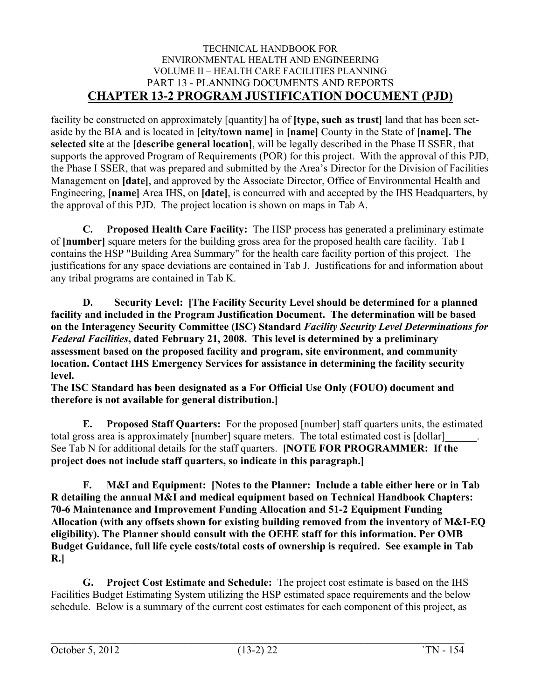facility be constructed on approximately [quantity] ha of **[type, such as trust]** land that has been setaside by the BIA and is located in **[city/town name]** in **[name]** County in the State of **[name]. The selected site** at the **[describe general location]**, will be legally described in the Phase II SSER, that supports the approved Program of Requirements (POR) for this project. With the approval of this PJD, the Phase I SSER, that was prepared and submitted by the Area's Director for the Division of Facilities Management on **[date]**, and approved by the Associate Director, Office of Environmental Health and Engineering, **[name]** Area IHS, on **[date]**, is concurred with and accepted by the IHS Headquarters, by the approval of this PJD. The project location is shown on maps in Tab A.

<span id="page-22-0"></span>**C. Proposed Health Care Facility:** The HSP process has generated a preliminary estimate of **[number]** square meters for the building gross area for the proposed health care facility. Tab I contains the HSP "Building Area Summary" for the health care facility portion of this project. The justifications for any space deviations are contained in Tab J. Justifications for and information about any tribal programs are contained in Tab K.

<span id="page-22-1"></span>**D. Security Level: [The Facility Security Level should be determined for a planned facility and included in the Program Justification Document. The determination will be based on the Interagency Security Committee (ISC) Standard** *Facility Security Level Determinations for Federal Facilities***, dated February 21, 2008. This level is determined by a preliminary assessment based on the proposed facility and program, site environment, and community location. Contact IHS Emergency Services for assistance in determining the facility security level.**

**The ISC Standard has been designated as a For Official Use Only (FOUO) document and therefore is not available for general distribution.]**

<span id="page-22-2"></span>**E. Proposed Staff Quarters:** For the proposed [number] staff quarters units, the estimated total gross area is approximately [number] square meters. The total estimated cost is [dollar] See Tab N for additional details for the staff quarters. **[NOTE FOR PROGRAMMER: If the project does not include staff quarters, so indicate in this paragraph.]**

<span id="page-22-3"></span>**F. M&I and Equipment: [Notes to the Planner: Include a table either here or in Tab R detailing the annual M&I and medical equipment based on Technical Handbook Chapters: 70-6 Maintenance and Improvement Funding Allocation and 51-2 Equipment Funding Allocation (with any offsets shown for existing building removed from the inventory of M&I-EQ eligibility). The Planner should consult with the OEHE staff for this information. Per OMB Budget Guidance, full life cycle costs/total costs of ownership is required. See example in Tab R.]**

<span id="page-22-4"></span>**G. Project Cost Estimate and Schedule:** The project cost estimate is based on the IHS Facilities Budget Estimating System utilizing the HSP estimated space requirements and the below schedule. Below is a summary of the current cost estimates for each component of this project, as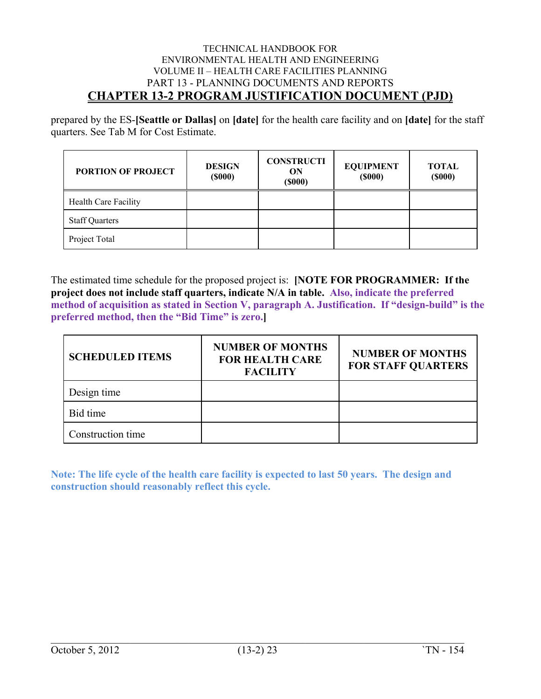prepared by the ES-**[Seattle or Dallas]** on **[date]** for the health care facility and on **[date]** for the staff quarters. See Tab M for Cost Estimate.

| <b>PORTION OF PROJECT</b> | <b>DESIGN</b><br>$($ \$000 $)$ | <b>CONSTRUCTI</b><br>ON<br>$($ \$000 $)$ | <b>EQUIPMENT</b><br>$($ \$000 $)$ | <b>TOTAL</b><br>$($ \$000 $)$ |
|---------------------------|--------------------------------|------------------------------------------|-----------------------------------|-------------------------------|
| Health Care Facility      |                                |                                          |                                   |                               |
| <b>Staff Quarters</b>     |                                |                                          |                                   |                               |
| Project Total             |                                |                                          |                                   |                               |

The estimated time schedule for the proposed project is: **[NOTE FOR PROGRAMMER: If the project does not include staff quarters, indicate N/A in table. Also, indicate the preferred method of acquisition as stated in Section V, paragraph A. Justification. If "design-build" is the preferred method, then the "Bid Time" is zero.]**

| <b>SCHEDULED ITEMS</b> | <b>NUMBER OF MONTHS</b><br><b>FOR HEALTH CARE</b><br><b>FACILITY</b> | <b>NUMBER OF MONTHS</b><br><b>FOR STAFF QUARTERS</b> |
|------------------------|----------------------------------------------------------------------|------------------------------------------------------|
| Design time            |                                                                      |                                                      |
| Bid time               |                                                                      |                                                      |
| Construction time      |                                                                      |                                                      |

**Note: The life cycle of the health care facility is expected to last 50 years. The design and construction should reasonably reflect this cycle.**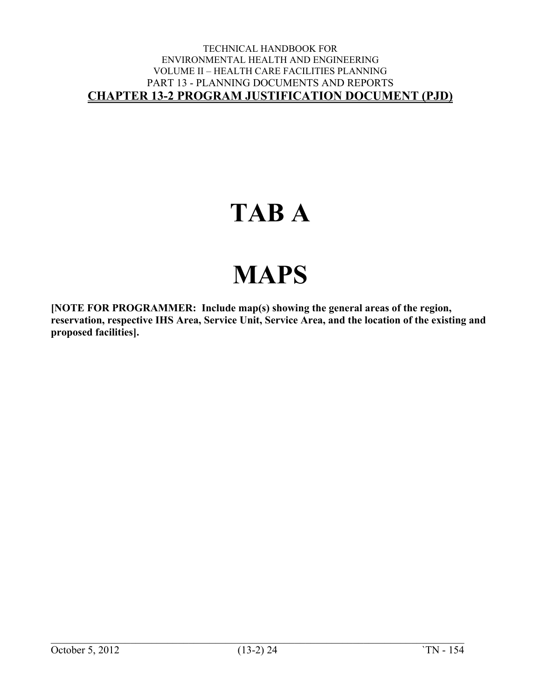## **TAB A**

# **MAPS**

**[NOTE FOR PROGRAMMER: Include map(s) showing the general areas of the region, reservation, respective IHS Area, Service Unit, Service Area, and the location of the existing and proposed facilities].**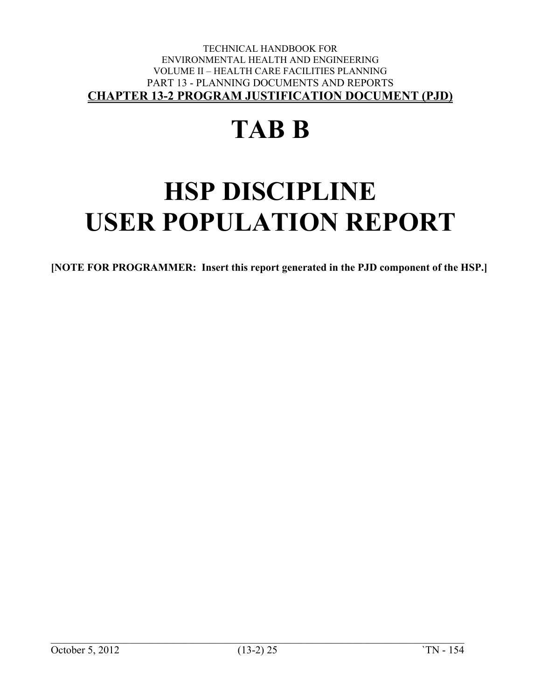# **TAB B**

# **HSP DISCIPLINE USER POPULATION REPORT**

**[NOTE FOR PROGRAMMER: Insert this report generated in the PJD component of the HSP.]**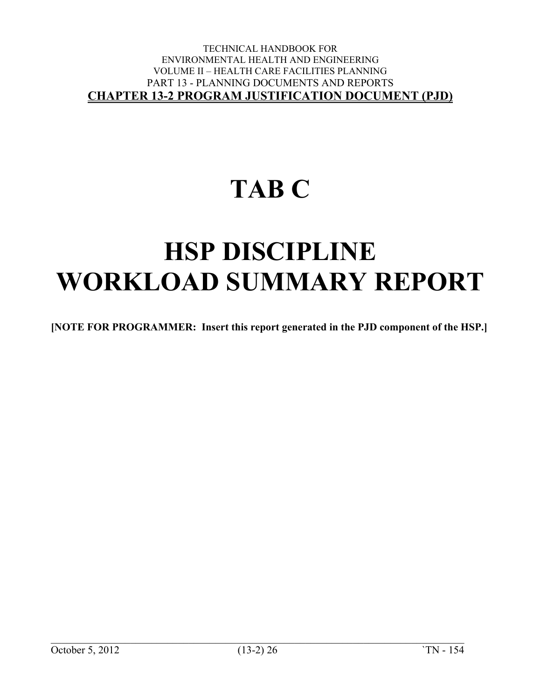# **TAB C**

## **HSP DISCIPLINE WORKLOAD SUMMARY REPORT**

**[NOTE FOR PROGRAMMER: Insert this report generated in the PJD component of the HSP.]**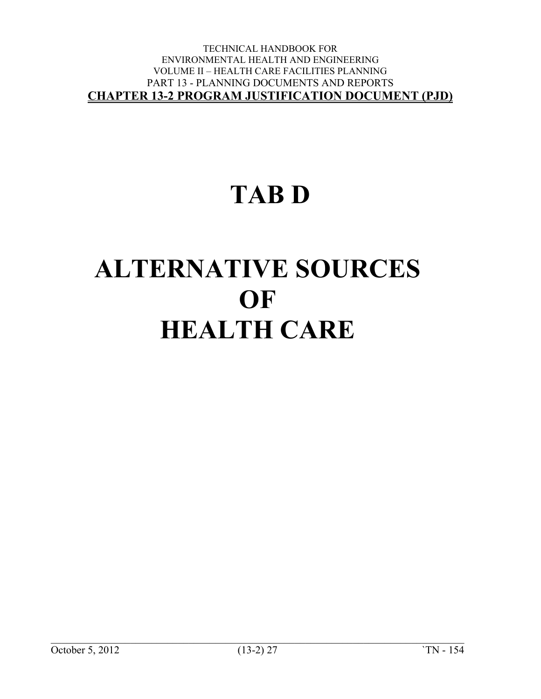### **TAB D**

# **ALTERNATIVE SOURCES OF HEALTH CARE**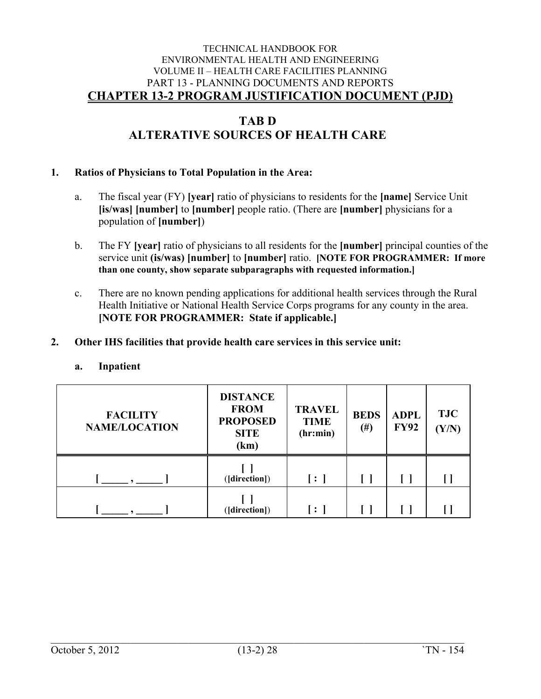### **TAB D ALTERATIVE SOURCES OF HEALTH CARE**

#### **1. Ratios of Physicians to Total Population in the Area:**

- a. The fiscal year (FY) **[year]** ratio of physicians to residents for the **[name]** Service Unit **[is/was] [number]** to **[number]** people ratio. (There are **[number]** physicians for a population of **[number]**)
- b. The FY **[year]** ratio of physicians to all residents for the **[number]** principal counties of the service unit **(is/was) [number]** to **[number]** ratio. **[NOTE FOR PROGRAMMER: If more than one county, show separate subparagraphs with requested information.]**
- c. There are no known pending applications for additional health services through the Rural Health Initiative or National Health Service Corps programs for any county in the area. **[NOTE FOR PROGRAMMER: State if applicable.]**

#### **2. Other IHS facilities that provide health care services in this service unit:**

#### **a. Inpatient**

| <b>FACILITY</b><br><b>NAME/LOCATION</b> | <b>DISTANCE</b><br><b>FROM</b><br><b>PROPOSED</b><br><b>SITE</b><br>(km) | <b>TRAVEL</b><br><b>TIME</b><br>(hr: min) | <b>BEDS</b><br>$(\#)$ | <b>ADPL</b><br><b>FY92</b> | <b>TJC</b><br>(Y/N) |
|-----------------------------------------|--------------------------------------------------------------------------|-------------------------------------------|-----------------------|----------------------------|---------------------|
|                                         | ([direction])                                                            | $\lceil : \rceil$                         |                       |                            |                     |
|                                         | ([direction])                                                            | l : I                                     |                       |                            |                     |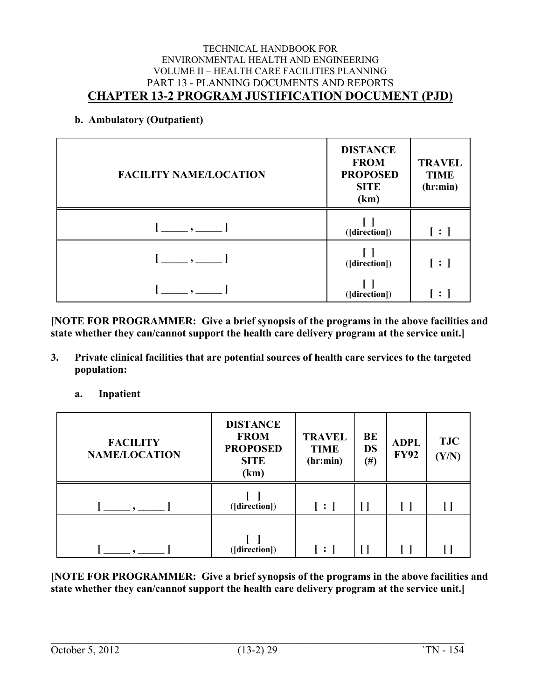#### **b. Ambulatory (Outpatient)**

| <b>FACILITY NAME/LOCATION</b>           | <b>DISTANCE</b><br><b>FROM</b><br><b>PROPOSED</b><br><b>SITE</b><br>(km) | <b>TRAVEL</b><br><b>TIME</b><br>(hr:min) |
|-----------------------------------------|--------------------------------------------------------------------------|------------------------------------------|
| $[\_\_,\_\$                             | ([direction])                                                            | $\vert : \vert$                          |
| $\begin{array}{ccc} \hline \end{array}$ | ([direction])                                                            | $\vert : \vert$                          |
|                                         | ([direction])                                                            |                                          |

**[NOTE FOR PROGRAMMER: Give a brief synopsis of the programs in the above facilities and state whether they can/cannot support the health care delivery program at the service unit.]**

- **3. Private clinical facilities that are potential sources of health care services to the targeted population:**
	- **a. Inpatient**

| <b>FACILITY</b><br><b>NAME/LOCATION</b> | <b>DISTANCE</b><br><b>FROM</b><br><b>PROPOSED</b><br><b>SITE</b><br>(km) | <b>TRAVEL</b><br><b>TIME</b><br>(hr: min) | <b>BE</b><br><b>DS</b><br>$(\#)$ | <b>ADPL</b><br><b>FY92</b> | <b>TJC</b><br>(Y/N) |  |
|-----------------------------------------|--------------------------------------------------------------------------|-------------------------------------------|----------------------------------|----------------------------|---------------------|--|
|                                         | ([direction])                                                            | $[\cdot]$                                 |                                  |                            |                     |  |
|                                         | ([direction])                                                            | $\lceil : \rceil$                         |                                  |                            |                     |  |

**[NOTE FOR PROGRAMMER: Give a brief synopsis of the programs in the above facilities and state whether they can/cannot support the health care delivery program at the service unit.]**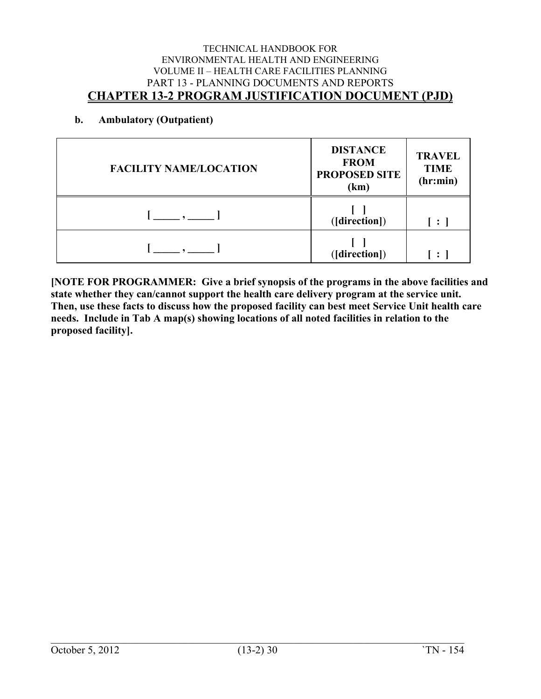#### **b. Ambulatory (Outpatient)**

| <b>FACILITY NAME/LOCATION</b> | <b>DISTANCE</b><br><b>FROM</b><br>PROPOSED SITE<br>(km) | <b>TRAVEL</b><br><b>TIME</b><br>(hr: min) |
|-------------------------------|---------------------------------------------------------|-------------------------------------------|
|                               | ([direction])                                           | $\ddot{\cdot}$                            |
|                               | ([direction])                                           | $\mathbf{r}$                              |

**[NOTE FOR PROGRAMMER: Give a brief synopsis of the programs in the above facilities and state whether they can/cannot support the health care delivery program at the service unit. Then, use these facts to discuss how the proposed facility can best meet Service Unit health care needs. Include in Tab A map(s) showing locations of all noted facilities in relation to the proposed facility].**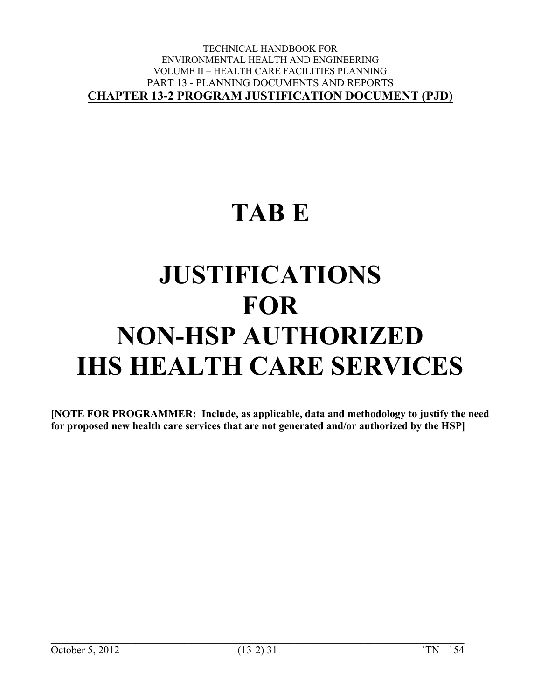### **TAB E**

# **JUSTIFICATIONS FOR NON-HSP AUTHORIZED IHS HEALTH CARE SERVICES**

**[NOTE FOR PROGRAMMER: Include, as applicable, data and methodology to justify the need for proposed new health care services that are not generated and/or authorized by the HSP]**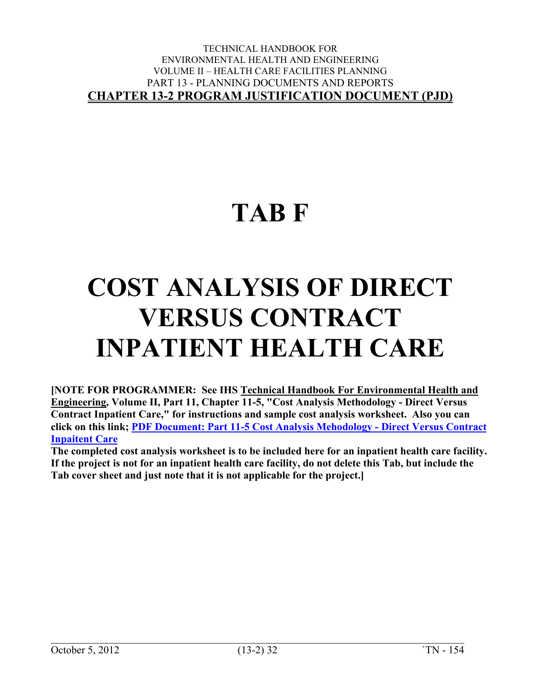### **TAB F**

# **COST ANALYSIS OF DIRECT VERSUS CONTRACT INPATIENT HEALTH CARE**

**[NOTE FOR PROGRAMMER: See IHS Technical Handbook For Environmental Health and Engineering, Volume II, Part 11, Chapter 11-5, "Cost Analysis Methodology - Direct Versus Contract Inpatient Care," for instructions and sample cost analysis worksheet. Also you can click on this link; [PDF Document: Part 11-5 Cost Analysis Mehodology -](https://www.ihs.gov/sites/oehe/themes/responsive2017/display_objects/documents/handbook/01105.pdf) Direct Versus Contract [Inpaitent Care](https://www.ihs.gov/sites/oehe/themes/responsive2017/display_objects/documents/handbook/01105.pdf)**

**The completed cost analysis worksheet is to be included here for an inpatient health care facility. If the project is not for an inpatient health care facility, do not delete this Tab, but include the Tab cover sheet and just note that it is not applicable for the project.]**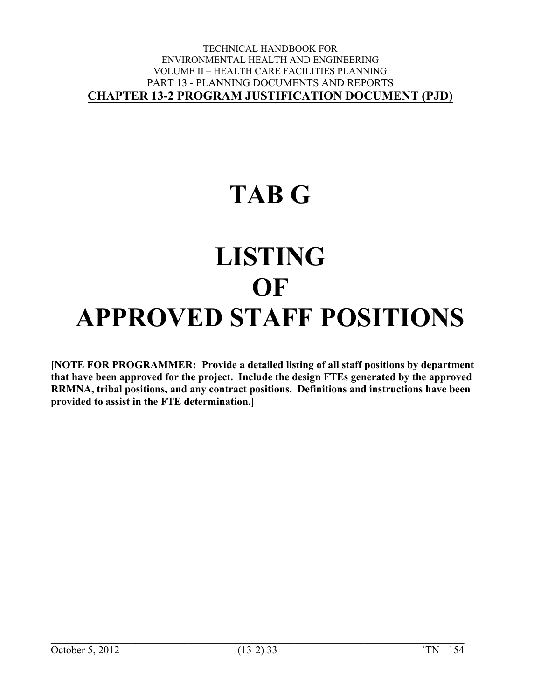### **TAB G**

## **LISTING OF APPROVED STAFF POSITIONS**

**[NOTE FOR PROGRAMMER: Provide a detailed listing of all staff positions by department that have been approved for the project. Include the design FTEs generated by the approved RRMNA, tribal positions, and any contract positions. Definitions and instructions have been provided to assist in the FTE determination.]**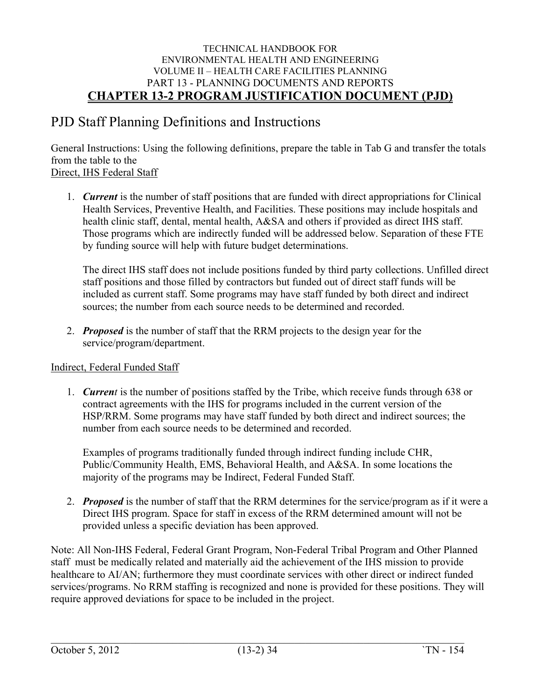### PJD Staff Planning Definitions and Instructions

General Instructions: Using the following definitions, prepare the table in Tab G and transfer the totals from the table to the Direct, IHS Federal Staff

1. *Current* is the number of staff positions that are funded with direct appropriations for Clinical Health Services, Preventive Health, and Facilities. These positions may include hospitals and health clinic staff, dental, mental health, A&SA and others if provided as direct IHS staff. Those programs which are indirectly funded will be addressed below. Separation of these FTE by funding source will help with future budget determinations.

The direct IHS staff does not include positions funded by third party collections. Unfilled direct staff positions and those filled by contractors but funded out of direct staff funds will be included as current staff. Some programs may have staff funded by both direct and indirect sources; the number from each source needs to be determined and recorded.

2. *Proposed* is the number of staff that the RRM projects to the design year for the service/program/department.

#### Indirect, Federal Funded Staff

1. *Current* is the number of positions staffed by the Tribe, which receive funds through 638 or contract agreements with the IHS for programs included in the current version of the HSP/RRM. Some programs may have staff funded by both direct and indirect sources; the number from each source needs to be determined and recorded.

Examples of programs traditionally funded through indirect funding include CHR, Public/Community Health, EMS, Behavioral Health, and A&SA. In some locations the majority of the programs may be Indirect, Federal Funded Staff.

2. *Proposed* is the number of staff that the RRM determines for the service/program as if it were a Direct IHS program. Space for staff in excess of the RRM determined amount will not be provided unless a specific deviation has been approved.

Note: All Non-IHS Federal, Federal Grant Program, Non-Federal Tribal Program and Other Planned staff must be medically related and materially aid the achievement of the IHS mission to provide healthcare to AI/AN; furthermore they must coordinate services with other direct or indirect funded services/programs. No RRM staffing is recognized and none is provided for these positions. They will require approved deviations for space to be included in the project.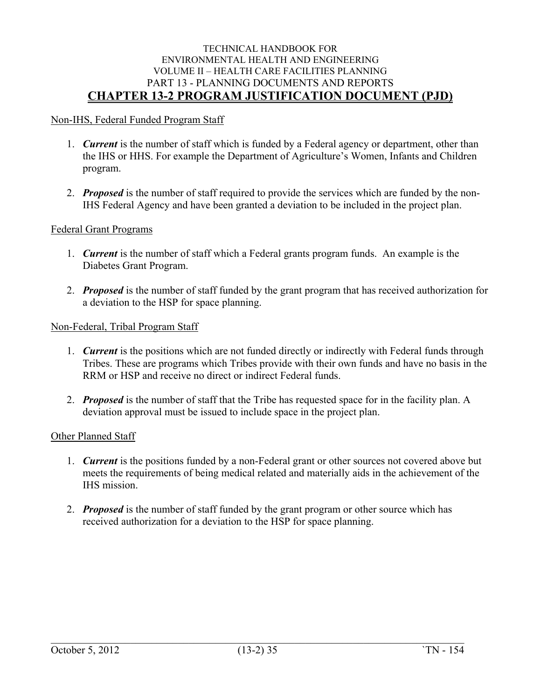#### Non-IHS, Federal Funded Program Staff

- 1. *Current* is the number of staff which is funded by a Federal agency or department, other than the IHS or HHS. For example the Department of Agriculture's Women, Infants and Children program.
- 2. *Proposed* is the number of staff required to provide the services which are funded by the non-IHS Federal Agency and have been granted a deviation to be included in the project plan.

#### Federal Grant Programs

- 1. *Current* is the number of staff which a Federal grants program funds. An example is the Diabetes Grant Program.
- 2. *Proposed* is the number of staff funded by the grant program that has received authorization for a deviation to the HSP for space planning.

#### Non-Federal, Tribal Program Staff

- 1. *Current* is the positions which are not funded directly or indirectly with Federal funds through Tribes. These are programs which Tribes provide with their own funds and have no basis in the RRM or HSP and receive no direct or indirect Federal funds.
- 2. *Proposed* is the number of staff that the Tribe has requested space for in the facility plan. A deviation approval must be issued to include space in the project plan.

#### Other Planned Staff

- 1. *Current* is the positions funded by a non-Federal grant or other sources not covered above but meets the requirements of being medical related and materially aids in the achievement of the IHS mission.
- 2. *Proposed* is the number of staff funded by the grant program or other source which has received authorization for a deviation to the HSP for space planning.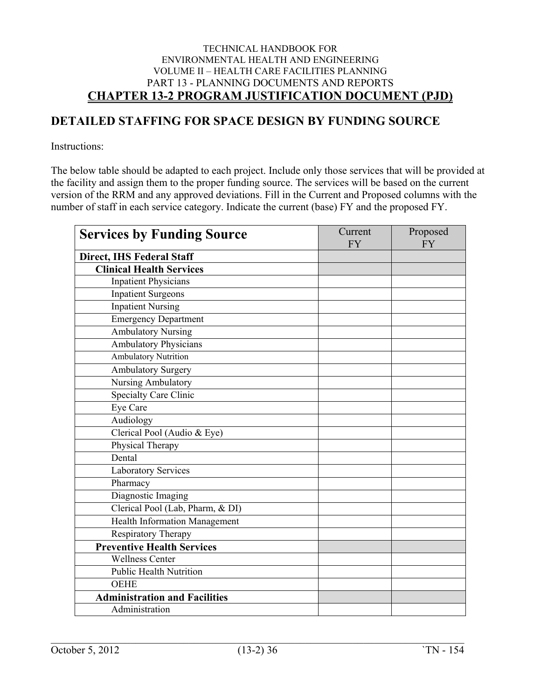### **DETAILED STAFFING FOR SPACE DESIGN BY FUNDING SOURCE**

Instructions:

The below table should be adapted to each project. Include only those services that will be provided at the facility and assign them to the proper funding source. The services will be based on the current version of the RRM and any approved deviations. Fill in the Current and Proposed columns with the number of staff in each service category. Indicate the current (base) FY and the proposed FY.

| <b>Services by Funding Source</b>    | Current<br><b>FY</b> | Proposed<br><b>FY</b> |
|--------------------------------------|----------------------|-----------------------|
| Direct, IHS Federal Staff            |                      |                       |
| <b>Clinical Health Services</b>      |                      |                       |
| <b>Inpatient Physicians</b>          |                      |                       |
| <b>Inpatient Surgeons</b>            |                      |                       |
| <b>Inpatient Nursing</b>             |                      |                       |
| <b>Emergency Department</b>          |                      |                       |
| <b>Ambulatory Nursing</b>            |                      |                       |
| <b>Ambulatory Physicians</b>         |                      |                       |
| <b>Ambulatory Nutrition</b>          |                      |                       |
| Ambulatory Surgery                   |                      |                       |
| Nursing Ambulatory                   |                      |                       |
| <b>Specialty Care Clinic</b>         |                      |                       |
| Eye Care                             |                      |                       |
| Audiology                            |                      |                       |
| Clerical Pool (Audio & Eye)          |                      |                       |
| Physical Therapy                     |                      |                       |
| Dental                               |                      |                       |
| Laboratory Services                  |                      |                       |
| Pharmacy                             |                      |                       |
| Diagnostic Imaging                   |                      |                       |
| Clerical Pool (Lab, Pharm, & DI)     |                      |                       |
| Health Information Management        |                      |                       |
| Respiratory Therapy                  |                      |                       |
| <b>Preventive Health Services</b>    |                      |                       |
| <b>Wellness Center</b>               |                      |                       |
| <b>Public Health Nutrition</b>       |                      |                       |
| <b>OEHE</b>                          |                      |                       |
| <b>Administration and Facilities</b> |                      |                       |
| Administration                       |                      |                       |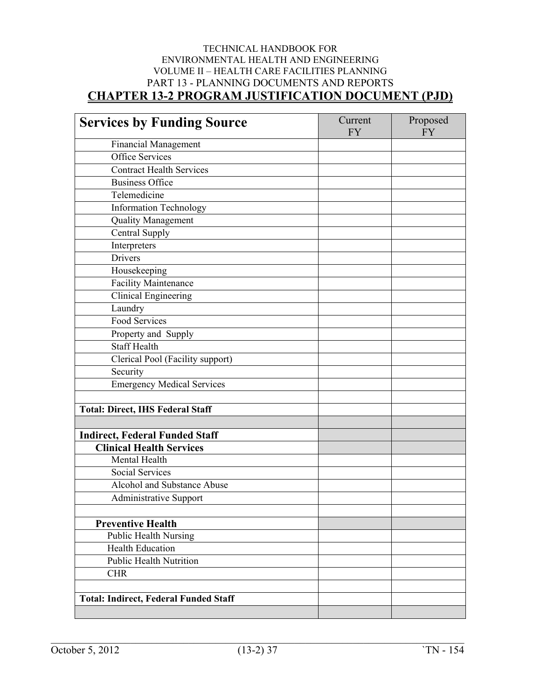| <b>Services by Funding Source</b>            | Current<br><b>FY</b> | Proposed<br><b>FY</b> |
|----------------------------------------------|----------------------|-----------------------|
| <b>Financial Management</b>                  |                      |                       |
| Office Services                              |                      |                       |
| <b>Contract Health Services</b>              |                      |                       |
| <b>Business Office</b>                       |                      |                       |
| Telemedicine                                 |                      |                       |
| <b>Information Technology</b>                |                      |                       |
| <b>Quality Management</b>                    |                      |                       |
| Central Supply                               |                      |                       |
| Interpreters                                 |                      |                       |
| Drivers                                      |                      |                       |
| Housekeeping                                 |                      |                       |
| <b>Facility Maintenance</b>                  |                      |                       |
| <b>Clinical Engineering</b>                  |                      |                       |
| Laundry                                      |                      |                       |
| Food Services                                |                      |                       |
| Property and Supply                          |                      |                       |
| <b>Staff Health</b>                          |                      |                       |
| Clerical Pool (Facility support)             |                      |                       |
| Security                                     |                      |                       |
| <b>Emergency Medical Services</b>            |                      |                       |
|                                              |                      |                       |
| <b>Total: Direct, IHS Federal Staff</b>      |                      |                       |
|                                              |                      |                       |
| <b>Indirect, Federal Funded Staff</b>        |                      |                       |
| <b>Clinical Health Services</b>              |                      |                       |
| Mental Health                                |                      |                       |
| <b>Social Services</b>                       |                      |                       |
| Alcohol and Substance Abuse                  |                      |                       |
| Administrative Support                       |                      |                       |
|                                              |                      |                       |
| <b>Preventive Health</b>                     |                      |                       |
| Public Health Nursing                        |                      |                       |
| Health Education                             |                      |                       |
| <b>Public Health Nutrition</b>               |                      |                       |
| <b>CHR</b>                                   |                      |                       |
|                                              |                      |                       |
| <b>Total: Indirect, Federal Funded Staff</b> |                      |                       |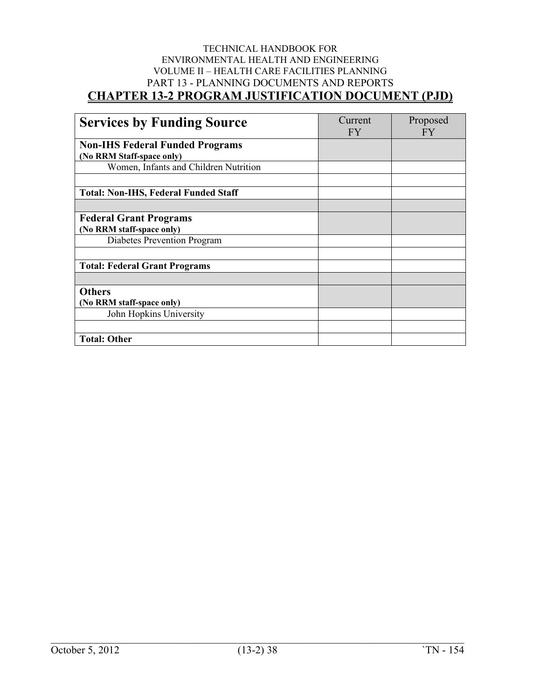| <b>Services by Funding Source</b>           | Current<br><b>FY</b> | Proposed<br>FY |
|---------------------------------------------|----------------------|----------------|
| <b>Non-IHS Federal Funded Programs</b>      |                      |                |
| (No RRM Staff-space only)                   |                      |                |
| Women, Infants and Children Nutrition       |                      |                |
|                                             |                      |                |
| <b>Total: Non-IHS, Federal Funded Staff</b> |                      |                |
|                                             |                      |                |
| <b>Federal Grant Programs</b>               |                      |                |
| (No RRM staff-space only)                   |                      |                |
| Diabetes Prevention Program                 |                      |                |
|                                             |                      |                |
| <b>Total: Federal Grant Programs</b>        |                      |                |
|                                             |                      |                |
| <b>Others</b>                               |                      |                |
| (No RRM staff-space only)                   |                      |                |
| John Hopkins University                     |                      |                |
|                                             |                      |                |
| <b>Total: Other</b>                         |                      |                |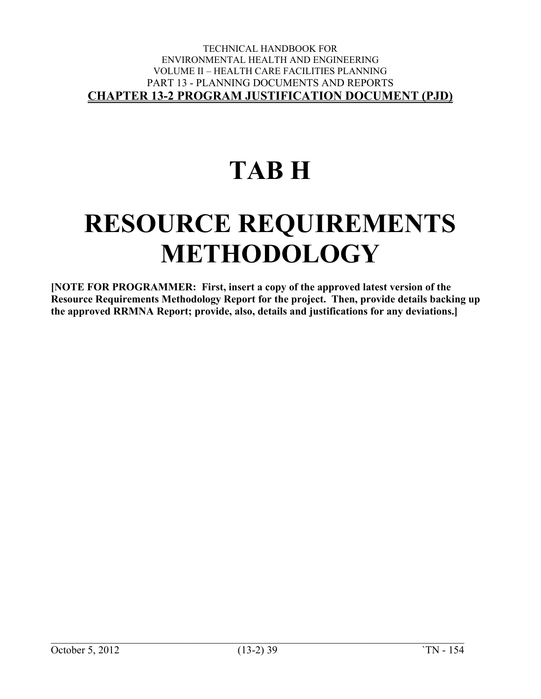# **TAB H**

## **RESOURCE REQUIREMENTS METHODOLOGY**

**[NOTE FOR PROGRAMMER: First, insert a copy of the approved latest version of the Resource Requirements Methodology Report for the project. Then, provide details backing up the approved RRMNA Report; provide, also, details and justifications for any deviations.]**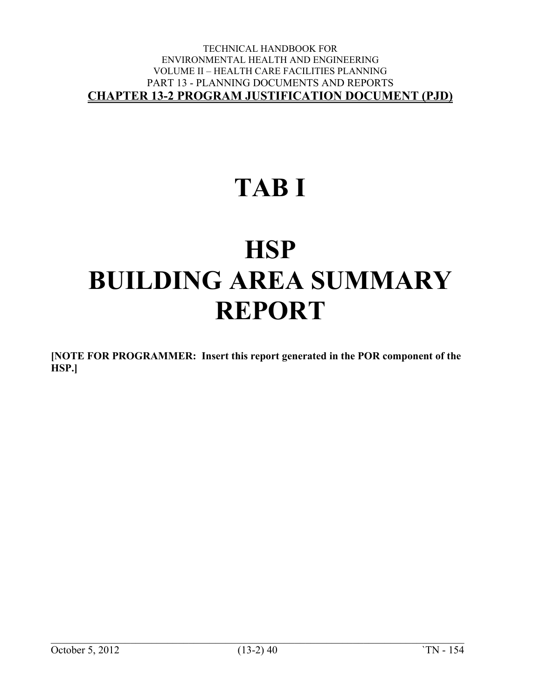## **TAB I**

## **HSP BUILDING AREA SUMMARY REPORT**

**[NOTE FOR PROGRAMMER: Insert this report generated in the POR component of the HSP.]**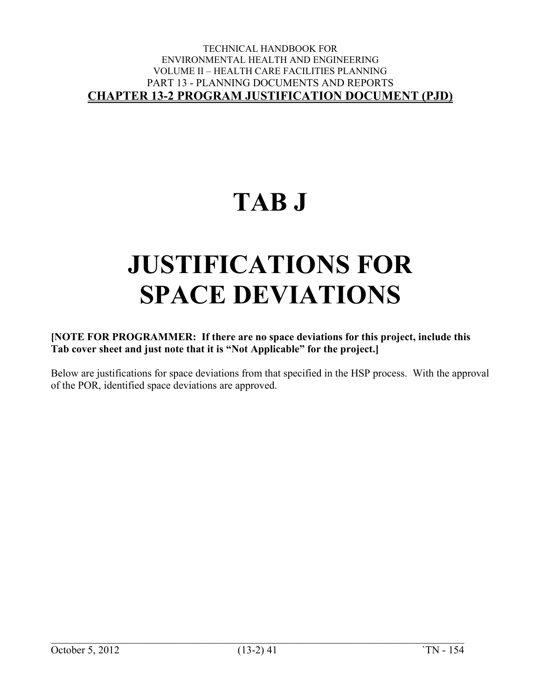## **TAB J**

# **JUSTIFICATIONS FOR SPACE DEVIATIONS**

#### **[NOTE FOR PROGRAMMER: If there are no space deviations for this project, include this Tab cover sheet and just note that it is "Not Applicable" for the project.]**

Below are justifications for space deviations from that specified in the HSP process. With the approval of the POR, identified space deviations are approved.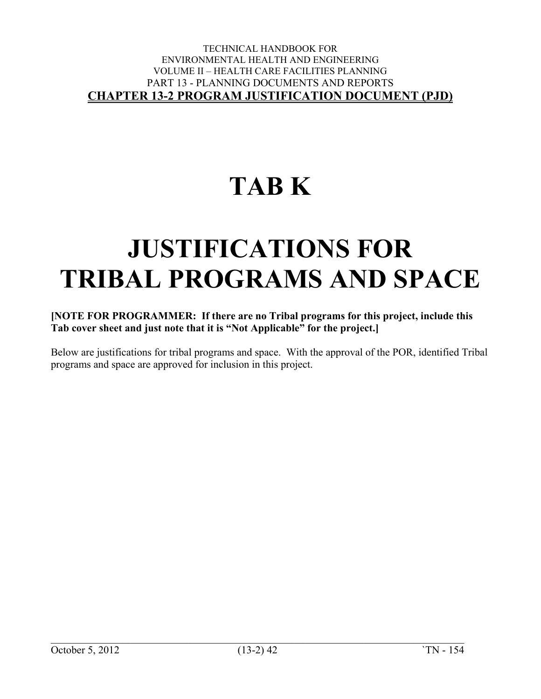## **TAB K**

## **JUSTIFICATIONS FOR TRIBAL PROGRAMS AND SPACE**

#### **[NOTE FOR PROGRAMMER: If there are no Tribal programs for this project, include this Tab cover sheet and just note that it is "Not Applicable" for the project.]**

Below are justifications for tribal programs and space. With the approval of the POR, identified Tribal programs and space are approved for inclusion in this project.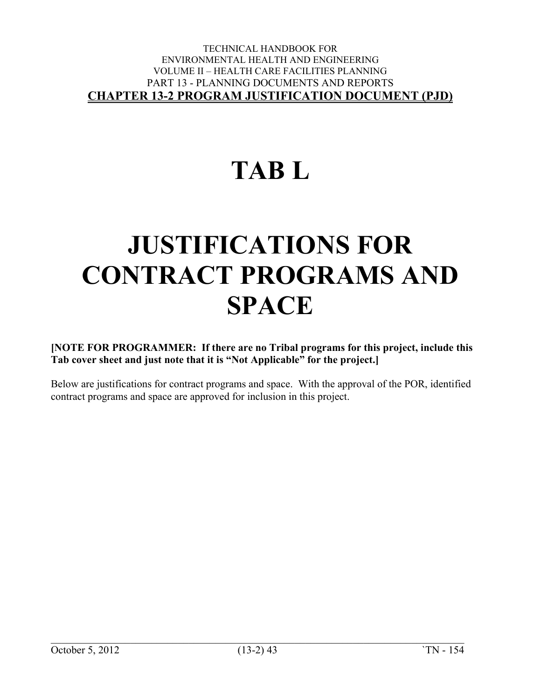# **TAB L**

# **JUSTIFICATIONS FOR CONTRACT PROGRAMS AND SPACE**

**[NOTE FOR PROGRAMMER: If there are no Tribal programs for this project, include this Tab cover sheet and just note that it is "Not Applicable" for the project.]**

Below are justifications for contract programs and space. With the approval of the POR, identified contract programs and space are approved for inclusion in this project.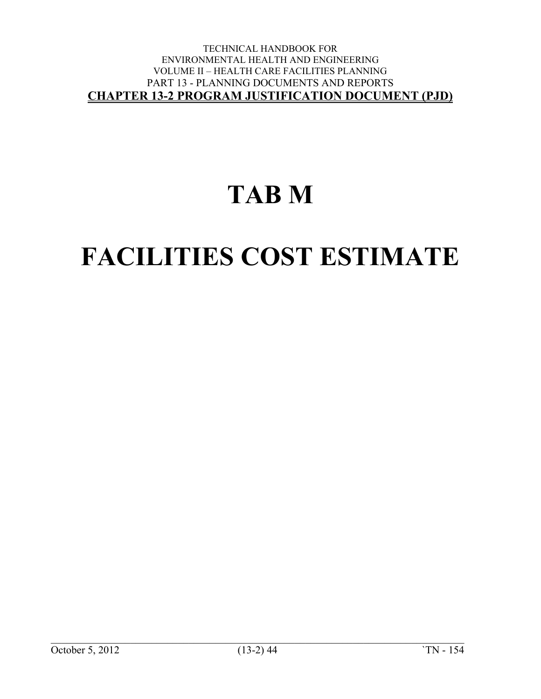### **TAB M**

# **FACILITIES COST ESTIMATE**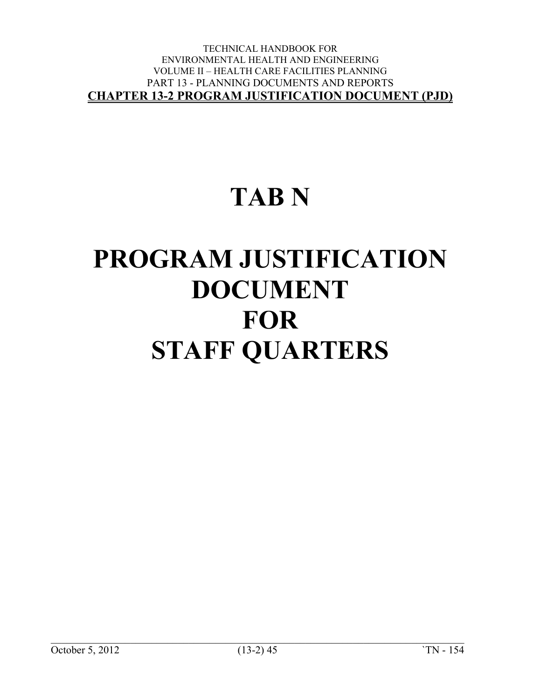## **TAB N**

# **PROGRAM JUSTIFICATION DOCUMENT FOR STAFF QUARTERS**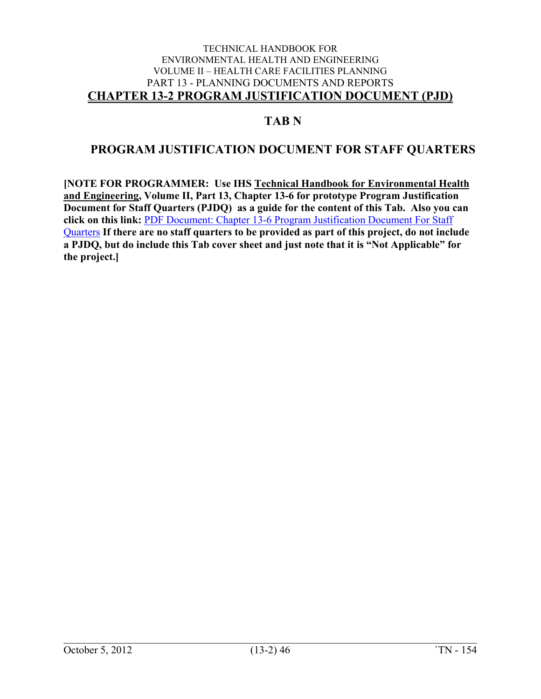### **TAB N**

### **PROGRAM JUSTIFICATION DOCUMENT FOR STAFF QUARTERS**

**[NOTE FOR PROGRAMMER: Use IHS Technical Handbook for Environmental Health and Engineering, Volume II, Part 13, Chapter 13-6 for prototype Program Justification Document for Staff Quarters (PJDQ) as a guide for the content of this Tab. Also you can click on this link:** [PDF Document: Chapter 13-6 Program Justification Document For Staff](https://www.ihs.gov/sites/oehe/themes/responsive2017/display_objects/documents/handbook/01306.pdf)  [Quarters](https://www.ihs.gov/sites/oehe/themes/responsive2017/display_objects/documents/handbook/01306.pdf) **If there are no staff quarters to be provided as part of this project, do not include a PJDQ, but do include this Tab cover sheet and just note that it is "Not Applicable" for the project.]**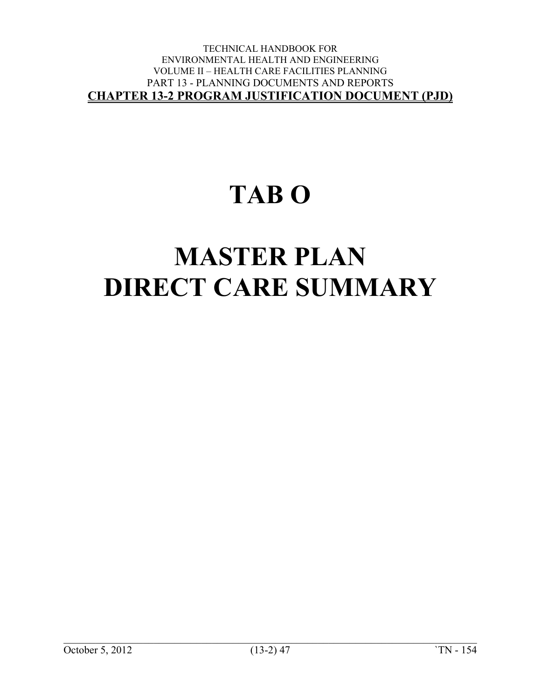### **TAB O**

# **MASTER PLAN DIRECT CARE SUMMARY**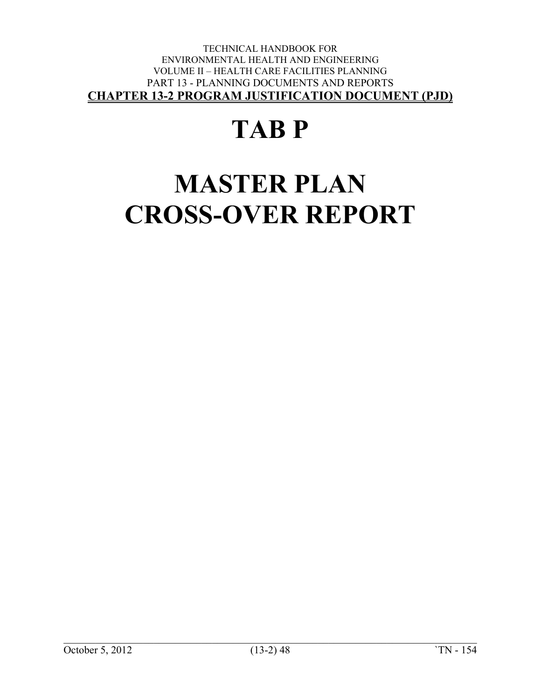# **TAB P**

# **MASTER PLAN CROSS-OVER REPORT**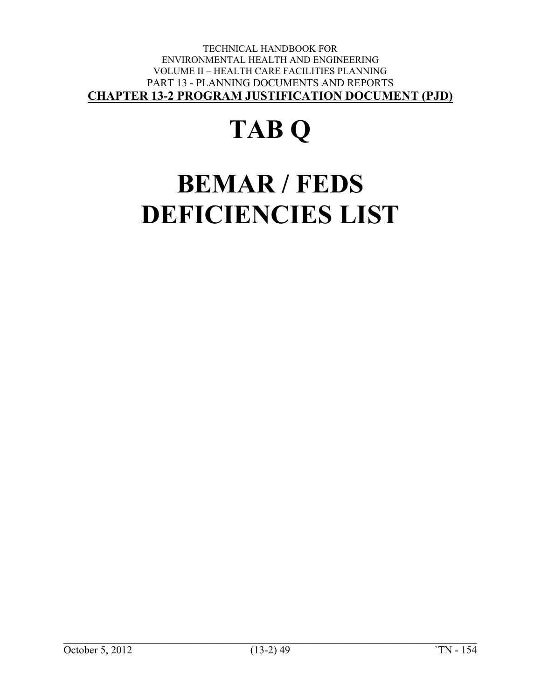# **TAB Q**

# **BEMAR / FEDS DEFICIENCIES LIST**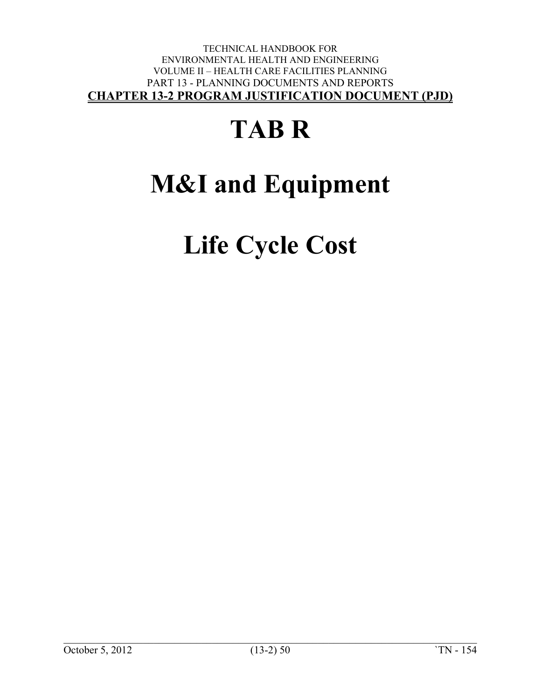# **TAB R**

# **M&I and Equipment**

**Life Cycle Cost**